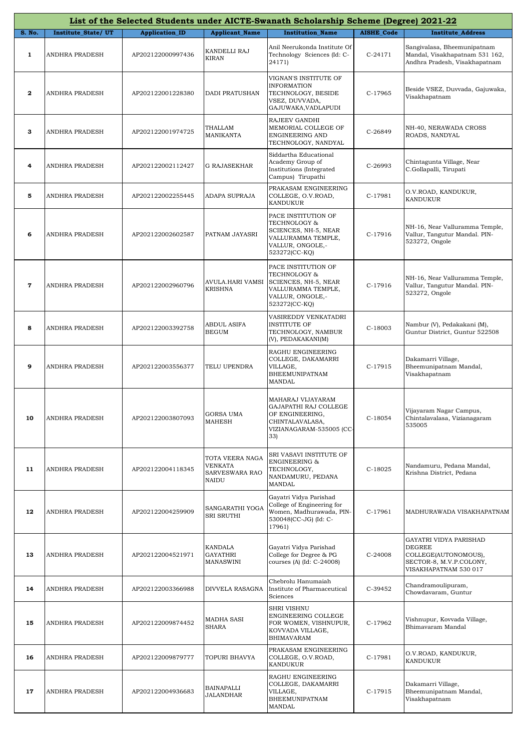|              | List of the Selected Students under AICTE-Swanath Scholarship Scheme (Degree) 2021-22 |                       |                                                                     |                                                                                                                        |                   |                                                                                                              |  |  |
|--------------|---------------------------------------------------------------------------------------|-----------------------|---------------------------------------------------------------------|------------------------------------------------------------------------------------------------------------------------|-------------------|--------------------------------------------------------------------------------------------------------------|--|--|
| S. No.       | Institute_State/UT                                                                    | <b>Application_ID</b> | <b>Applicant_Name</b>                                               | <b>Institution Name</b>                                                                                                | <b>AISHE Code</b> | <b>Institute Address</b>                                                                                     |  |  |
| $\mathbf{1}$ | ANDHRA PRADESH                                                                        | AP202122000997436     | KANDELLI RAJ<br><b>KIRAN</b>                                        | Anil Neerukonda Institute Of<br>Technology Sciences (Id: C-<br>24171)                                                  | C-24171           | Sangivalasa, Bheemunipatnam<br>Mandal, Visakhapatnam 531 162,<br>Andhra Pradesh, Visakhapatnam               |  |  |
| $\mathbf{2}$ | ANDHRA PRADESH                                                                        | AP202122001228380     | <b>DADI PRATUSHAN</b>                                               | VIGNAN'S INSTITUTE OF<br><b>INFORMATION</b><br>TECHNOLOGY, BESIDE<br>VSEZ, DUVVADA,<br>GAJUWAKA, VADLAPUDI             | C-17965           | Beside VSEZ, Duvvada, Gajuwaka,<br>Visakhapatnam                                                             |  |  |
| З            | <b>ANDHRA PRADESH</b>                                                                 | AP202122001974725     | THALLAM<br>MANIKANTA                                                | RAJEEV GANDHI<br>MEMORIAL COLLEGE OF<br>ENGINEERING AND<br>TECHNOLOGY, NANDYAL                                         | C-26849           | NH-40, NERAWADA CROSS<br>ROADS, NANDYAL                                                                      |  |  |
| 4            | ANDHRA PRADESH                                                                        | AP202122002112427     | <b>G RAJASEKHAR</b>                                                 | Siddartha Educational<br>Academy Group of<br>Institutions (Integrated<br>Campus) Tirupathi                             | $C-26993$         | Chintagunta Village, Near<br>C.Gollapalli, Tirupati                                                          |  |  |
| 5            | ANDHRA PRADESH                                                                        | AP202122002255445     | ADAPA SUPRAJA                                                       | PRAKASAM ENGINEERING<br>COLLEGE, O.V.ROAD,<br><b>KANDUKUR</b>                                                          | C-17981           | O.V.ROAD, KANDUKUR,<br><b>KANDUKUR</b>                                                                       |  |  |
| 6            | <b>ANDHRA PRADESH</b>                                                                 | AP202122002602587     | PATNAM JAYASRI                                                      | PACE INSTITUTION OF<br>TECHNOLOGY &<br>SCIENCES, NH-5, NEAR<br>VALLURAMMA TEMPLE,<br>VALLUR, ONGOLE,-<br>523272(CC-KQ) | C-17916           | NH-16, Near Valluramma Temple,<br>Vallur, Tangutur Mandal. PIN-<br>523272, Ongole                            |  |  |
| 7            | ANDHRA PRADESH                                                                        | AP202122002960796     | AVULA.HARI VAMSI<br>KRISHNA                                         | PACE INSTITUTION OF<br>TECHNOLOGY &<br>SCIENCES, NH-5, NEAR<br>VALLURAMMA TEMPLE,<br>VALLUR, ONGOLE,-<br>523272(CC-KQ) | C-17916           | NH-16, Near Valluramma Temple,<br>Vallur, Tangutur Mandal. PIN-<br>523272, Ongole                            |  |  |
| 8            | ANDHRA PRADESH                                                                        | AP202122003392758     | <b>ABDUL ASIFA</b><br><b>BEGUM</b>                                  | VASIREDDY VENKATADRI<br><b>INSTITUTE OF</b><br>TECHNOLOGY, NAMBUR<br>(V), PEDAKAKANI(M)                                | C-18003           | Nambur (V), Pedakakani (M),<br>Guntur District, Guntur 522508                                                |  |  |
| 9            | <b>ANDHRA PRADESH</b>                                                                 | AP202122003556377     | TELU UPENDRA                                                        | RAGHU ENGINEERING<br>COLLEGE, DAKAMARRI<br>VILLAGE,<br>BHEEMUNIPATNAM<br>MANDAL                                        | C-17915           | Dakamarri Village,<br>Bheemunipatnam Mandal,<br>Visakhapatnam                                                |  |  |
| 10           | ANDHRA PRADESH                                                                        | AP202122003807093     | <b>GORSA UMA</b><br><b>MAHESH</b>                                   | MAHARAJ VIJAYARAM<br>GAJAPATHI RAJ COLLEGE<br>OF ENGINEERING,<br>CHINTALAVALASA,<br>VIZIANAGARAM-535005 (CC-<br>33)    | $C-18054$         | Vijayaram Nagar Campus,<br>Chintalavalasa, Vizianagaram<br>535005                                            |  |  |
| 11           | ANDHRA PRADESH                                                                        | AP202122004118345     | TOTA VEERA NAGA<br><b>VENKATA</b><br>SARVESWARA RAO<br><b>NAIDU</b> | SRI VASAVI INSTITUTE OF<br><b>ENGINEERING &amp;</b><br>TECHNOLOGY,<br>NANDAMURU, PEDANA<br>MANDAL                      | $C-18025$         | Nandamuru, Pedana Mandal,<br>Krishna District, Pedana                                                        |  |  |
| 12           | ANDHRA PRADESH                                                                        | AP202122004259909     | SANGARATHI YOGA<br>SRI SRUTHI                                       | Gayatri Vidya Parishad<br>College of Engineering for<br>Women, Madhurawada, PIN-<br>530048(CC-JG) (Id: C-<br>17961)    | C-17961           | MADHURAWADA VISAKHAPATNAM                                                                                    |  |  |
| 13           | ANDHRA PRADESH                                                                        | AP202122004521971     | KANDALA<br><b>GAYATHRI</b><br>MANASWINI                             | Gayatri Vidya Parishad<br>College for Degree & PG<br>courses (A) (Id: C-24008)                                         | C-24008           | GAYATRI VIDYA PARISHAD<br>DEGREE<br>COLLEGE(AUTONOMOUS),<br>SECTOR-8, M.V.P.COLONY,<br>VISAKHAPATNAM 530 017 |  |  |
| 14           | ANDHRA PRADESH                                                                        | AP202122003366988     | DIVVELA RASAGNA                                                     | Chebrolu Hanumaiah<br>Institute of Pharmaceutical<br>Sciences                                                          | C-39452           | Chandramoulipuram,<br>Chowdavaram, Guntur                                                                    |  |  |
| 15           | ANDHRA PRADESH                                                                        | AP202122009874452     | <b>MADHA SASI</b><br>SHARA                                          | <b>SHRI VISHNU</b><br>ENGINEERING COLLEGE<br>FOR WOMEN, VISHNUPUR,<br>KOVVADA VILLAGE,<br><b>BHIMAVARAM</b>            | C-17962           | Vishnupur, Kovvada Village,<br>Bhimavaram Mandal                                                             |  |  |
| 16           | ANDHRA PRADESH                                                                        | AP202122009879777     | TOPURI BHAVYA                                                       | PRAKASAM ENGINEERING<br>COLLEGE, O.V.ROAD,<br>KANDUKUR                                                                 | C-17981           | O.V.ROAD, KANDUKUR,<br>KANDUKUR                                                                              |  |  |
| 17           | ANDHRA PRADESH                                                                        | AP202122004936683     | BAINAPALLI<br><b>JALANDHAR</b>                                      | RAGHU ENGINEERING<br>COLLEGE, DAKAMARRI<br>VILLAGE,<br>BHEEMUNIPATNAM<br>MANDAL                                        | C-17915           | Dakamarri Village,<br>Bheemunipatnam Mandal,<br>Visakhapatnam                                                |  |  |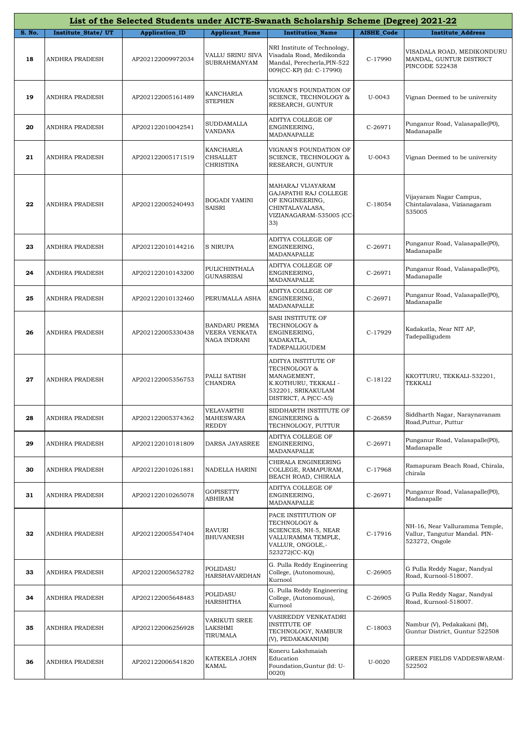|        |                           |                       |                                                       | List of the Selected Students under AICTE-Swanath Scholarship Scheme (Degree) 2021-22                                    |                   |                                                                                   |
|--------|---------------------------|-----------------------|-------------------------------------------------------|--------------------------------------------------------------------------------------------------------------------------|-------------------|-----------------------------------------------------------------------------------|
| S. No. | <b>Institute State/UT</b> | <b>Application_ID</b> | <b>Applicant Name</b>                                 | <b>Institution Name</b>                                                                                                  | <b>AISHE Code</b> | <b>Institute Address</b>                                                          |
| 18     | ANDHRA PRADESH            | AP202122009972034     | VALLU SRINU SIVA<br><b>SUBRAHMANYAM</b>               | NRI Institute of Technology,<br>Visadala Road, Medikonda<br>Mandal, Perecherla, PIN-522<br>009(CC-KP) (Id: C-17990)      | C-17990           | VISADALA ROAD, MEDIKONDURU<br>MANDAL, GUNTUR DISTRICT<br><b>PINCODE 522438</b>    |
| 19     | ANDHRA PRADESH            | AP202122005161489     | KANCHARLA<br><b>STEPHEN</b>                           | VIGNAN'S FOUNDATION OF<br>SCIENCE, TECHNOLOGY &<br>RESEARCH, GUNTUR                                                      | U-0043            | Vignan Deemed to be university                                                    |
| 20     | ANDHRA PRADESH            | AP202122010042541     | SUDDAMALLA<br><b>VANDANA</b>                          | ADITYA COLLEGE OF<br>ENGINEERING,<br>MADANAPALLE                                                                         | C-26971           | Punganur Road, Valasapalle(P0),<br>Madanapalle                                    |
| 21     | ANDHRA PRADESH            | AP202122005171519     | KANCHARLA<br><b>CHSALLET</b><br><b>CHRISTINA</b>      | VIGNAN'S FOUNDATION OF<br>SCIENCE, TECHNOLOGY &<br>RESEARCH, GUNTUR                                                      | U-0043            | Vignan Deemed to be university                                                    |
| 22     | <b>ANDHRA PRADESH</b>     | AP202122005240493     | BOGADI YAMINI<br>SAISRI                               | MAHARAJ VIJAYARAM<br>GAJAPATHI RAJ COLLEGE<br>OF ENGINEERING,<br>CHINTALAVALASA,<br>VIZIANAGARAM-535005 (CC-<br>33)      | $C-18054$         | Vijayaram Nagar Campus,<br>Chintalavalasa, Vizianagaram<br>535005                 |
| 23     | ANDHRA PRADESH            | AP202122010144216     | S NIRUPA                                              | ADITYA COLLEGE OF<br>ENGINEERING,<br>MADANAPALLE                                                                         | C-26971           | Punganur Road, Valasapalle(P0),<br>Madanapalle                                    |
| 24     | ANDHRA PRADESH            | AP202122010143200     | PULICHINTHALA<br>GUNASRISAI                           | ADITYA COLLEGE OF<br>ENGINEERING,<br>MADANAPALLE                                                                         | C-26971           | Punganur Road, Valasapalle(P0),<br>Madanapalle                                    |
| 25     | ANDHRA PRADESH            | AP202122010132460     | PERUMALLA ASHA                                        | ADITYA COLLEGE OF<br>ENGINEERING,<br>MADANAPALLE                                                                         | $C-26971$         | Punganur Road, Valasapalle(P0),<br>Madanapalle                                    |
| 26     | ANDHRA PRADESH            | AP202122005330438     | <b>BANDARU PREMA</b><br>VEERA VENKATA<br>NAGA INDRANI | SASI INSTITUTE OF<br><b>TECHNOLOGY &amp;</b><br>ENGINEERING,<br>KADAKATLA,<br>TADEPALLIGUDEM                             | C-17929           | Kadakatla, Near NIT AP,<br>Tadepalligudem                                         |
| 27     | ANDHRA PRADESH            | AP202122005356753     | PALLI SATISH<br>CHANDRA                               | ADITYA INSTITUTE OF<br>TECHNOLOGY &<br>MANAGEMENT,<br>K.KOTHURU, TEKKALI -<br>532201, SRIKAKULAM<br>DISTRICT, A.P(CC-A5) | C-18122           | KKOTTURU, TEKKALI-532201,<br><b>TEKKALI</b>                                       |
| 28     | ANDHRA PRADESH            | AP202122005374362     | VELAVARTHI<br><b>MAHESWARA</b><br><b>REDDY</b>        | SIDDHARTH INSTITUTE OF<br>ENGINEERING &<br>TECHNOLOGY, PUTTUR                                                            | C-26859           | Siddharth Nagar, Naraynavanam<br>Road, Puttur, Puttur                             |
| 29     | ANDHRA PRADESH            | AP202122010181809     | DARSA JAYASREE                                        | ADITYA COLLEGE OF<br>ENGINEERING,<br>MADANAPALLE                                                                         | C-26971           | Punganur Road, Valasapalle(P0),<br>Madanapalle                                    |
| 30     | ANDHRA PRADESH            | AP202122010261881     | NADELLA HARINI                                        | CHIRALA ENGINEERING<br>COLLEGE, RAMAPURAM,<br>BEACH ROAD, CHIRALA                                                        | C-17968           | Ramapuram Beach Road, Chirala,<br>chirala                                         |
| 31     | ANDHRA PRADESH            | AP202122010265078     | GOPISETTY<br>ABHIRAM                                  | ADITYA COLLEGE OF<br>ENGINEERING,<br>MADANAPALLE                                                                         | C-26971           | Punganur Road, Valasapalle(P0),<br>Madanapalle                                    |
| 32     | ANDHRA PRADESH            | AP202122005547404     | <b>RAVURI</b><br><b>BHUVANESH</b>                     | PACE INSTITUTION OF<br>TECHNOLOGY &<br>SCIENCES, NH-5, NEAR<br>VALLURAMMA TEMPLE,<br>VALLUR, ONGOLE,-<br>523272(CC-KQ)   | C-17916           | NH-16, Near Valluramma Temple,<br>Vallur, Tangutur Mandal. PIN-<br>523272, Ongole |
| 33     | ANDHRA PRADESH            | AP202122005652782     | POLIDASU<br>HARSHAVARDHAN                             | G. Pulla Reddy Engineering<br>College, (Autonomous),<br>Kurnool                                                          | C-26905           | G Pulla Reddy Nagar, Nandyal<br>Road, Kurnool-518007.                             |
| 34     | ANDHRA PRADESH            | AP202122005648483     | POLIDASU<br>HARSHITHA                                 | G. Pulla Reddy Engineering<br>College, (Autonomous),<br>Kurnool                                                          | C-26905           | G Pulla Reddy Nagar, Nandyal<br>Road, Kurnool-518007.                             |
| 35     | ANDHRA PRADESH            | AP202122006256928     | VARIKUTI SREE<br>LAKSHMI<br>TIRUMALA                  | VASIREDDY VENKATADRI<br><b>INSTITUTE OF</b><br>TECHNOLOGY, NAMBUR<br>(V), PEDAKAKANI(M)                                  | C-18003           | Nambur (V), Pedakakani (M),<br>Guntur District, Guntur 522508                     |
| 36     | ANDHRA PRADESH            | AP202122006541820     | KATEKELA JOHN<br>KAMAL                                | Koneru Lakshmaiah<br>Education<br>Foundation, Guntur (Id: U-<br>0020                                                     | U-0020            | GREEN FIELDS VADDESWARAM-<br>522502                                               |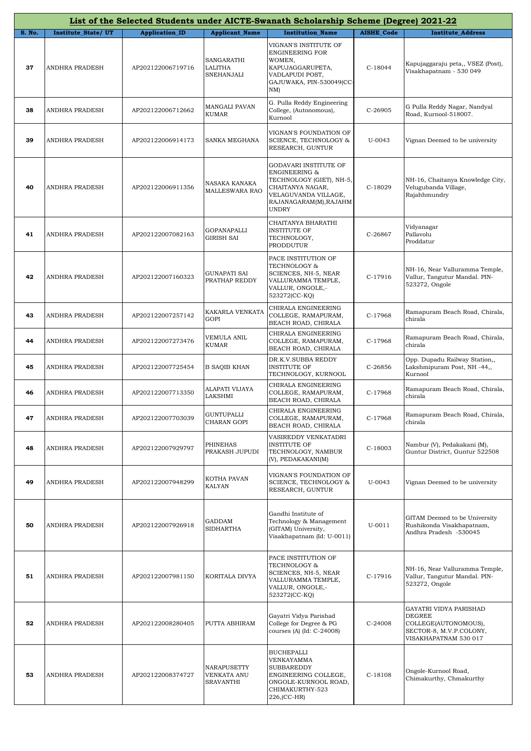|        |                       |                       |                                         | List of the Selected Students under AICTE-Swanath Scholarship Scheme (Degree) 2021-22                                                                               |                   |                                                                                                                     |
|--------|-----------------------|-----------------------|-----------------------------------------|---------------------------------------------------------------------------------------------------------------------------------------------------------------------|-------------------|---------------------------------------------------------------------------------------------------------------------|
| S. No. | Institute_State/UT    | <b>Application_ID</b> | <b>Applicant_Name</b>                   | <b>Institution Name</b>                                                                                                                                             | <b>AISHE Code</b> | <b>Institute Address</b>                                                                                            |
| 37     | <b>ANDHRA PRADESH</b> | AP202122006719716     | SANGARATHI<br>LALITHA<br>SNEHANJALI     | VIGNAN'S INSTITUTE OF<br><b>ENGINEERING FOR</b><br>WOMEN,<br>KAPUJAGGARUPETA,<br>VADLAPUDI POST,<br>GAJUWAKA, PIN-530049(CC-<br>$NM$ )                              | $C-18044$         | Kapujaggaraju peta,, VSEZ (Post),<br>Visakhapatnam - 530 049                                                        |
| 38     | <b>ANDHRA PRADESH</b> | AP202122006712662     | MANGALI PAVAN<br>KUMAR                  | G. Pulla Reddy Engineering<br>College, (Autonomous),<br>Kurnool                                                                                                     | C-26905           | G Pulla Reddy Nagar, Nandyal<br>Road, Kurnool-518007.                                                               |
| 39     | ANDHRA PRADESH        | AP202122006914173     | SANKA MEGHANA                           | VIGNAN'S FOUNDATION OF<br>SCIENCE, TECHNOLOGY &<br>RESEARCH, GUNTUR                                                                                                 | U-0043            | Vignan Deemed to be university                                                                                      |
| 40     | ANDHRA PRADESH        | AP202122006911356     | NASAKA KANAKA<br><b>MALLESWARA RAO</b>  | GODAVARI INSTITUTE OF<br><b>ENGINEERING &amp;</b><br>TECHNOLOGY (GIET), NH-5,<br>CHAITANYA NAGAR,<br>VELAGUVANDA VILLAGE,<br>RAJANAGARAM(M), RAJAHM<br><b>UNDRY</b> | C-18029           | NH-16, Chaitanya Knowledge City,<br>Velugubanda Village,<br>Rajahhmundry                                            |
| 41     | ANDHRA PRADESH        | AP202122007082163     | GOPANAPALLI<br><b>GIRISH SAI</b>        | CHAITANYA BHARATHI<br><b>INSTITUTE OF</b><br>TECHNOLOGY,<br>PRODDUTUR                                                                                               | C-26867           | Vidyanagar<br>Pallavolu<br>Proddatur                                                                                |
| 42     | ANDHRA PRADESH        | AP202122007160323     | GUNAPATI SAI<br>PRATHAP REDDY           | PACE INSTITUTION OF<br>TECHNOLOGY &<br>SCIENCES, NH-5, NEAR<br>VALLURAMMA TEMPLE,<br>VALLUR, ONGOLE,-<br>523272(CC-KQ)                                              | C-17916           | NH-16, Near Valluramma Temple,<br>Vallur, Tangutur Mandal. PIN-<br>523272, Ongole                                   |
| 43     | ANDHRA PRADESH        | AP202122007257142     | KAKARLA VENKATA<br><b>GOPI</b>          | CHIRALA ENGINEERING<br>COLLEGE, RAMAPURAM,<br>BEACH ROAD, CHIRALA                                                                                                   | C-17968           | Ramapuram Beach Road, Chirala,<br>chirala                                                                           |
| 44     | ANDHRA PRADESH        | AP202122007273476     | VEMULA ANIL<br>KUMAR                    | CHIRALA ENGINEERING<br>COLLEGE, RAMAPURAM,<br>BEACH ROAD, CHIRALA                                                                                                   | C-17968           | Ramapuram Beach Road, Chirala,<br>chirala                                                                           |
| 45     | ANDHRA PRADESH        | AP202122007725454     | <b>B SAQIB KHAN</b>                     | DR.K.V.SUBBA REDDY<br><b>INSTITUTE OF</b><br>TECHNOLOGY, KURNOOL                                                                                                    | C-26856           | Opp. Dupadu Railway Station,,<br>Lakshmipuram Post, NH -44,,<br>Kurnool                                             |
| 46     | ANDHRA PRADESH        | AP202122007713350     | ALAPATI VIJAYA<br>LAKSHMI               | CHIRALA ENGINEERING<br>COLLEGE, RAMAPURAM,<br>BEACH ROAD, CHIRALA                                                                                                   | C-17968           | Ramapuram Beach Road, Chirala,<br>chirala                                                                           |
|        | ANDHRA PRADESH        | AP202122007703039     | <b>GUNTUPALLI</b><br>CHARAN GOPI        | CHIRALA ENGINEERING<br>COLLEGE, RAMAPURAM,<br>BEACH ROAD, CHIRALA                                                                                                   | C-17968           | Ramapuram Beach Road, Chirala,<br>chirala                                                                           |
| 48     | ANDHRA PRADESH        | AP202122007929797     | PHINEHAS<br>PRAKASH JUPUDI              | VASIREDDY VENKATADRI<br><b>INSTITUTE OF</b><br>TECHNOLOGY, NAMBUR<br>(V), PEDAKAKANI(M)                                                                             | C-18003           | Nambur (V), Pedakakani (M),<br>Guntur District, Guntur 522508                                                       |
| 49     | ANDHRA PRADESH        | AP202122007948299     | KOTHA PAVAN<br><b>KALYAN</b>            | VIGNAN'S FOUNDATION OF<br>SCIENCE, TECHNOLOGY &<br>RESEARCH, GUNTUR                                                                                                 | U-0043            | Vignan Deemed to be university                                                                                      |
| 50     | ANDHRA PRADESH        | AP202122007926918     | GADDAM<br><b>SIDHARTHA</b>              | Gandhi Institute of<br>Technology & Management<br>(GITAM) University,<br>Visakhapatnam (Id: U-0011)                                                                 | U-0011            | GITAM Deemed to be University<br>Rushikonda Visakhapatnam,<br>Andhra Pradesh -530045                                |
| 51     | ANDHRA PRADESH        | AP202122007981150     | KORITALA DIVYA                          | PACE INSTITUTION OF<br>TECHNOLOGY &<br>SCIENCES, NH-5, NEAR<br>VALLURAMMA TEMPLE,<br>VALLUR, ONGOLE,-<br>523272(CC-KQ)                                              | C-17916           | NH-16, Near Valluramma Temple,<br>Vallur, Tangutur Mandal. PIN-<br>523272, Ongole                                   |
| 52     | ANDHRA PRADESH        | AP202122008280405     | PUTTA ABHIRAM                           | Gayatri Vidya Parishad<br>College for Degree & PG<br>courses (A) (Id: C-24008)                                                                                      | C-24008           | GAYATRI VIDYA PARISHAD<br><b>DEGREE</b><br>COLLEGE(AUTONOMOUS),<br>SECTOR-8, M.V.P.COLONY,<br>VISAKHAPATNAM 530 017 |
| 53     | ANDHRA PRADESH        | AP202122008374727     | NARAPUSETTY<br>VENKATA ANU<br>SRAVANTHI | <b>BUCHEPALLI</b><br>VENKAYAMMA<br><b>SUBBAREDDY</b><br>ENGINEERING COLLEGE,<br>ONGOLE-KURNOOL ROAD,<br>CHIMAKURTHY-523<br>226, (CC-HR)                             | C-18108           | Ongole-Kurnool Road,<br>Chimakurthy, Chmakurthy                                                                     |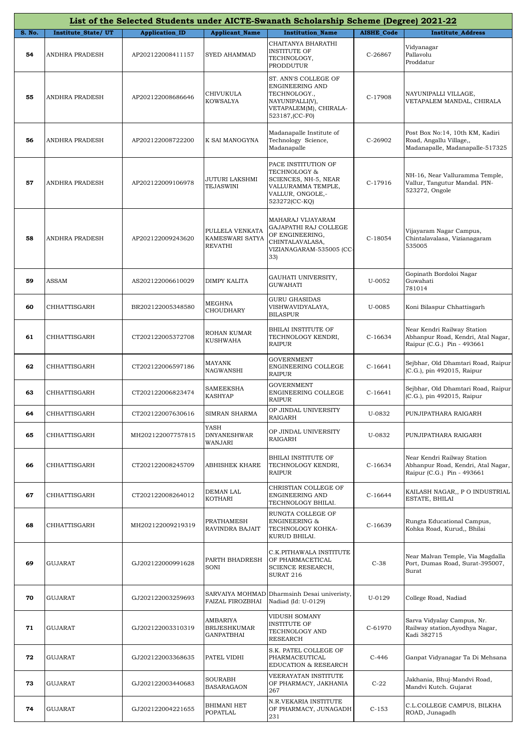|        |                     |                       |                                                      | List of the Selected Students under AICTE-Swanath Scholarship Scheme (Degree) 2021-22                                   |                   |                                                                                                 |
|--------|---------------------|-----------------------|------------------------------------------------------|-------------------------------------------------------------------------------------------------------------------------|-------------------|-------------------------------------------------------------------------------------------------|
| S. No. | Institute_State/UT  | <b>Application_ID</b> | <b>Applicant_Name</b>                                | <b>Institution_Name</b>                                                                                                 | <b>AISHE_Code</b> | <b>Institute Address</b>                                                                        |
| 54     | ANDHRA PRADESH      | AP202122008411157     | SYED AHAMMAD                                         | CHAITANYA BHARATHI<br><b>INSTITUTE OF</b><br>TECHNOLOGY,<br>PRODDUTUR                                                   | C-26867           | Vidyanagar<br>Pallavolu<br>Proddatur                                                            |
| 55     | ANDHRA PRADESH      | AP202122008686646     | CHIVUKULA<br>KOWSALYA                                | ST. ANN'S COLLEGE OF<br>ENGINEERING AND<br>TECHNOLOGY.,<br>NAYUNIPALLI(V),<br>VETAPALEM(M), CHIRALA-<br>523187, (CC-F0) | C-17908           | NAYUNIPALLI VILLAGE,<br>VETAPALEM MANDAL, CHIRALA                                               |
| 56     | ANDHRA PRADESH      | AP202122008722200     | K SAI MANOGYNA                                       | Madanapalle Institute of<br>Technology Science,<br>Madanapalle                                                          | C-26902           | Post Box No:14, 10th KM, Kadiri<br>Road, Angallu Village,,<br>Madanapalle, Madanapalle-517325   |
| 57     | ANDHRA PRADESH      | AP202122009106978     | JUTURI LAKSHMI<br>TEJASWINI                          | PACE INSTITUTION OF<br>TECHNOLOGY &<br>SCIENCES, NH-5, NEAR<br>VALLURAMMA TEMPLE,<br>VALLUR, ONGOLE,-<br>523272(CC-KQ)  | C-17916           | NH-16, Near Valluramma Temple,<br>Vallur, Tangutur Mandal. PIN-<br>523272, Ongole               |
| 58     | ANDHRA PRADESH      | AP202122009243620     | PULLELA VENKATA<br>KAMESWARI SATYA<br><b>REVATHI</b> | MAHARAJ VIJAYARAM<br>GAJAPATHI RAJ COLLEGE<br>OF ENGINEERING,<br>CHINTALAVALASA,<br>VIZIANAGARAM-535005 (CC-<br>33)     | $C-18054$         | Vijayaram Nagar Campus,<br>Chintalavalasa, Vizianagaram<br>535005                               |
| 59     | ASSAM               | AS202122006610029     | DIMPY KALITA                                         | GAUHATI UNIVERSITY,<br><b>GUWAHATI</b>                                                                                  | U-0052            | Gopinath Bordoloi Nagar<br>Guwahati<br>781014                                                   |
| 60     | CHHATTISGARH        | BR202122005348580     | MEGHNA<br>CHOUDHARY                                  | <b>GURU GHASIDAS</b><br>VISHWAVIDYALAYA,<br><b>BILASPUR</b>                                                             | U-0085            | Koni Bilaspur Chhattisgarh                                                                      |
| 61     | CHHATTISGARH        | CT202122005372708     | ROHAN KUMAR<br>KUSHWAHA                              | <b>BHILAI INSTITUTE OF</b><br>TECHNOLOGY KENDRI,<br>RAIPUR                                                              | $C-16634$         | Near Kendri Railway Station<br>Abhanpur Road, Kendri, Atal Nagar,<br>Raipur (C.G.) Pin - 493661 |
| 62     | CHHATTISGARH        | CT202122006597186     | MAYANK<br><b>NAGWANSHI</b>                           | <b>GOVERNMENT</b><br>ENGINEERING COLLEGE<br><b>RAIPUR</b>                                                               | $C-16641$         | Sejbhar, Old Dhamtari Road, Raipur<br>(C.G.), pin 492015, Raipur                                |
| 63     | CHHATTISGARH        | CT202122006823474     | SAMEEKSHA<br>KASHYAP                                 | <b>GOVERNMENT</b><br>ENGINEERING COLLEGE<br><b>RAIPUR</b>                                                               | $C-16641$         | Sejbhar, Old Dhamtari Road, Raipur<br>(C.G.), pin 492015, Raipur                                |
| 64     | <b>CHHATTISGARH</b> | CT202122007630616     | SIMRAN SHARMA                                        | OP JINDAL UNIVERSITY<br>RAIGARH                                                                                         | U-0832            | PUNJIPATHARA RAIGARH                                                                            |
| 65     | CHHATTISGARH        | MH202122007757815     | YASH<br><b>DNYANESHWAR</b><br>WANJARI                | OP JINDAL UNIVERSITY<br>RAIGARH                                                                                         | U-0832            | PUNJIPATHARA RAIGARH                                                                            |
| 66     | CHHATTISGARH        | CT202122008245709     | <b>ABHISHEK KHARE</b>                                | BHILAI INSTITUTE OF<br>TECHNOLOGY KENDRI,<br>RAIPUR                                                                     | $C-16634$         | Near Kendri Railway Station<br>Abhanpur Road, Kendri, Atal Nagar,<br>Raipur (C.G.) Pin - 493661 |
| 67     | CHHATTISGARH        | CT202122008264012     | DEMAN LAL<br>KOTHARI                                 | CHRISTIAN COLLEGE OF<br>ENGINEERING AND<br>TECHNOLOGY BHILAI.                                                           | $C-16644$         | KAILASH NAGAR,, P O INDUSTRIAL<br>ESTATE, BHILAI                                                |
| 68     | CHHATTISGARH        | MH202122009219319     | PRATHAMESH<br>RAVINDRA BAJAIT                        | RUNGTA COLLEGE OF<br><b>ENGINEERING &amp;</b><br>TECHNOLOGY KOHKA-<br>KURUD BHILAI.                                     | $C-16639$         | Rungta Educational Campus,<br>Kohka Road, Kurud,, Bhilai                                        |
| 69     | GUJARAT             | GJ202122000991628     | PARTH BHADRESH<br>SONI                               | C.K.PITHAWALA INSTITUTE<br>OF PHARMACETICAL<br>SCIENCE RESEARCH,<br><b>SURAT 216</b>                                    | $C-38$            | Near Malvan Temple, Via Magdalla<br>Port, Dumas Road, Surat-395007,<br>Surat                    |
| 70     | GUJARAT             | GJ202122003259693     | SARVAIYA MOHMAD<br>FAIZAL FIROZBHAI                  | Dharmsinh Desai univeristy,<br>Nadiad (Id: U-0129)                                                                      | U-0129            | College Road, Nadiad                                                                            |
| 71     | GUJARAT             | GJ202122003310319     | AMBARIYA<br><b>BRIJESHKUMAR</b><br>GANPATBHAI        | VIDUSH SOMANY<br><b>INSTITUTE OF</b><br>TECHNOLOGY AND<br><b>RESEARCH</b>                                               | C-61970           | Sarva Vidyalay Campus, Nr.<br>Railway station, Ayodhya Nagar,<br>Kadi 382715                    |
| 72     | GUJARAT             | GJ202122003368635     | PATEL VIDHI                                          | S.K. PATEL COLLEGE OF<br>PHARMACEUTICAL<br>EDUCATION & RESEARCH                                                         | $C-446$           | Ganpat Vidyanagar Ta Di Mehsana                                                                 |
| 73     | GUJARAT             | GJ202122003440683     | SOURABH<br><b>BASARAGAON</b>                         | VEERAYATAN INSTITUTE<br>OF PHARMACY, JAKHANIA<br>267                                                                    | $C-22$            | Jakhania, Bhuj-Mandvi Road,<br>Mandvi Kutch. Gujarat                                            |
| 74     | GUJARAT             | GJ202122004221655     | BHIMANI HET<br>POPATLAL                              | N.R.VEKARIA INSTITUTE<br>OF PHARMACY, JUNAGADH<br>231                                                                   | $C-153$           | C.L.COLLEGE CAMPUS, BILKHA<br>ROAD, Junagadh                                                    |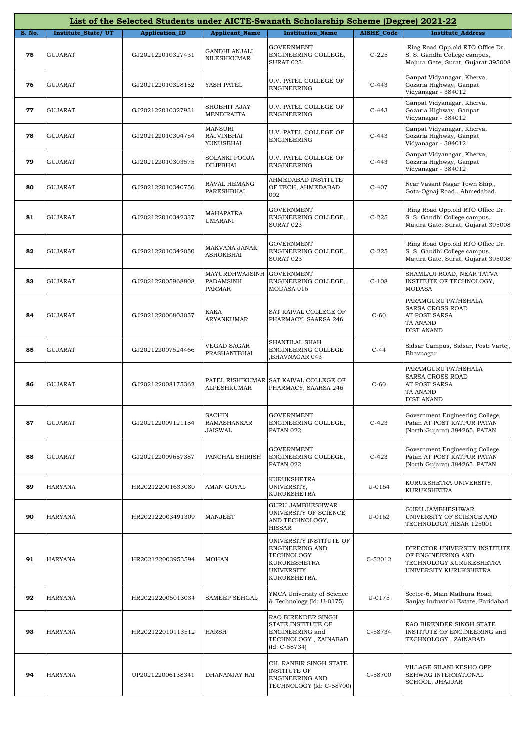|               |                    |                       |                                           | List of the Selected Students under AICTE-Swanath Scholarship Scheme (Degree) 2021-22                                |                   |                                                                                                           |
|---------------|--------------------|-----------------------|-------------------------------------------|----------------------------------------------------------------------------------------------------------------------|-------------------|-----------------------------------------------------------------------------------------------------------|
| <b>S. No.</b> | Institute_State/UT | <b>Application_ID</b> | <b>Applicant Name</b>                     | <b>Institution Name</b>                                                                                              | <b>AISHE Code</b> | <b>Institute Address</b>                                                                                  |
| 75            | <b>GUJARAT</b>     | GJ202122010327431     | <b>GANDHI ANJALI</b><br>NILESHKUMAR       | <b>GOVERNMENT</b><br>ENGINEERING COLLEGE,<br>SURAT 023                                                               | $C-225$           | Ring Road Opp.old RTO Office Dr.<br>S. S. Gandhi College campus,<br>Majura Gate, Surat, Gujarat 395008    |
| 76            | <b>GUJARAT</b>     | GJ202122010328152     | YASH PATEL                                | U.V. PATEL COLLEGE OF<br>ENGINEERING                                                                                 | $C-443$           | Ganpat Vidyanagar, Kherva,<br>Gozaria Highway, Ganpat<br>Vidyanagar - 384012                              |
| 77            | <b>GUJARAT</b>     | GJ202122010327931     | SHOBHIT AJAY<br>MENDIRATTA                | U.V. PATEL COLLEGE OF<br>ENGINEERING                                                                                 | $C-443$           | Ganpat Vidyanagar, Kherva,<br>Gozaria Highway, Ganpat<br>Vidyanagar - 384012                              |
| 78            | GUJARAT            | GJ202122010304754     | <b>MANSURI</b><br>RAJVINBHAI<br>YUNUSBHAI | U.V. PATEL COLLEGE OF<br><b>ENGINEERING</b>                                                                          | $C-443$           | Ganpat Vidyanagar, Kherva,<br>Gozaria Highway, Ganpat<br>Vidyanagar - 384012                              |
| 79            | GUJARAT            | GJ202122010303575     | <b>SOLANKI POOJA</b><br>DILIPBHAI         | U.V. PATEL COLLEGE OF<br>ENGINEERING                                                                                 | $C-443$           | Ganpat Vidyanagar, Kherva,<br>Gozaria Highway, Ganpat<br>Vidyanagar - 384012                              |
| 80            | <b>GUJARAT</b>     | GJ202122010340756     | RAVAL HEMANG<br>PARESHBHAI                | AHMEDABAD INSTITUTE<br>OF TECH, AHMEDABAD<br>002                                                                     | $C-407$           | Near Vasant Nagar Town Ship,,<br>Gota-Ognaj Road,, Ahmedabad.                                             |
| 81            | <b>GUJARAT</b>     | GJ202122010342337     | MAHAPATRA<br>UMARANI                      | <b>GOVERNMENT</b><br>ENGINEERING COLLEGE,<br>SURAT 023                                                               | $C-225$           | Ring Road Opp.old RTO Office Dr.<br>S. S. Gandhi College campus,<br>Majura Gate, Surat, Gujarat 395008    |
| 82            | <b>GUJARAT</b>     | GJ202122010342050     | MAKVANA JANAK<br><b>ASHOKBHAI</b>         | GOVERNMENT<br>ENGINEERING COLLEGE,<br>SURAT 023                                                                      | $C-225$           | Ring Road Opp.old RTO Office Dr.<br>S. S. Gandhi College campus,<br>Majura Gate, Surat, Gujarat 395008    |
| 83            | <b>GUJARAT</b>     | GJ202122005968808     | MAYURDHWAJSINH<br>PADAMSINH<br>PARMAR     | <b>GOVERNMENT</b><br>ENGINEERING COLLEGE,<br>MODASA 016                                                              | $C-108$           | SHAMLAJI ROAD, NEAR TATVA<br>INSTITUTE OF TECHNOLOGY,<br><b>MODASA</b>                                    |
| 84            | <b>GUJARAT</b>     | GJ202122006803057     | KAKA<br><b>ARYANKUMAR</b>                 | SAT KAIVAL COLLEGE OF<br>PHARMACY, SAARSA 246                                                                        | $C-60$            | PARAMGURU PATHSHALA<br>SARSA CROSS ROAD<br>AT POST SARSA<br>TA ANAND<br><b>DIST ANAND</b>                 |
| 85            | <b>GUJARAT</b>     | GJ202122007524466     | VEGAD SAGAR<br>PRASHANTBHAI               | SHANTILAL SHAH<br>ENGINEERING COLLEGE<br>BHAVNAGAR 043,                                                              | $C-44$            | Sidsar Campus, Sidsar, Post: Vartej,<br>Bhavnagar                                                         |
| 86            | <b>GUJARAT</b>     | GJ202122008175362     | <b>ALPESHKUMAR</b>                        | PATEL RISHIKUMAR SAT KAIVAL COLLEGE OF<br>PHARMACY, SAARSA 246                                                       | $C-60$            | PARAMGURU PATHSHALA<br><b>SARSA CROSS ROAD</b><br>AT POST SARSA<br>TA ANAND<br><b>DIST ANAND</b>          |
| 87            | <b>GUJARAT</b>     | GJ202122009121184     | <b>SACHIN</b><br>RAMASHANKAR<br>JAISWAL   | <b>GOVERNMENT</b><br>ENGINEERING COLLEGE,<br>PATAN 022                                                               | $C-423$           | Government Engineering College,<br>Patan AT POST KATPUR PATAN<br>(North Gujarat) 384265, PATAN            |
| 88            | GUJARAT            | GJ202122009657387     | PANCHAL SHIRISH                           | <b>GOVERNMENT</b><br>ENGINEERING COLLEGE,<br>PATAN 022                                                               | $C-423$           | Government Engineering College,<br>Patan AT POST KATPUR PATAN<br>(North Gujarat) 384265, PATAN            |
| 89            | <b>HARYANA</b>     | HR202122001633080     | AMAN GOYAL                                | <b>KURUKSHETRA</b><br>UNIVERSITY,<br>KURUKSHETRA                                                                     | U-0164            | KURUKSHETRA UNIVERSITY,<br><b>KURUKSHETRA</b>                                                             |
| 90            | <b>HARYANA</b>     | HR202122003491309     | <b>MANJEET</b>                            | GURU JAMBHESHWAR<br>UNIVERSITY OF SCIENCE<br>AND TECHNOLOGY,<br><b>HISSAR</b>                                        | U-0162            | <b>GURU JAMBHESHWAR</b><br>UNIVERSITY OF SCIENCE AND<br>TECHNOLOGY HISAR 125001                           |
| 91            | HARYANA            | HR202122003953594     | <b>MOHAN</b>                              | UNIVERSITY INSTITUTE OF<br>ENGINEERING AND<br>TECHNOLOGY<br><b>KURUKESHETRA</b><br><b>UNIVERSITY</b><br>KURUKSHETRA. | C-52012           | DIRECTOR UNIVERSITY INSTITUTE<br>OF ENGINEERING AND<br>TECHNOLOGY KURUKESHETRA<br>UNIVERSITY KURUKSHETRA. |
| 92            | HARYANA            | HR202122005013034     | SAMEEP SEHGAL                             | YMCA University of Science<br>& Technology (Id: U-0175)                                                              | U-0175            | Sector-6, Main Mathura Road,<br>Sanjay Industrial Estate, Faridabad                                       |
| 93            | HARYANA            | HR202122010113512     | <b>HARSH</b>                              | RAO BIRENDER SINGH<br>STATE INSTITUTE OF<br>ENGINEERING and<br>TECHNOLOGY, ZAINABAD<br>$(Id: C-58734)$               | C-58734           | RAO BIRENDER SINGH STATE<br>INSTITUTE OF ENGINEERING and<br>TECHNOLOGY, ZAINABAD                          |
| 94            | HARYANA            | UP202122006138341     | DHANANJAY RAI                             | CH. RANBIR SINGH STATE<br><b>INSTITUTE OF</b><br>ENGINEERING AND<br>TECHNOLOGY (Id: C-58700)                         | C-58700           | VILLAGE SILANI KESHO.OPP<br>SEHWAG INTERNATIONAL<br>SCHOOL. JHAJJAR                                       |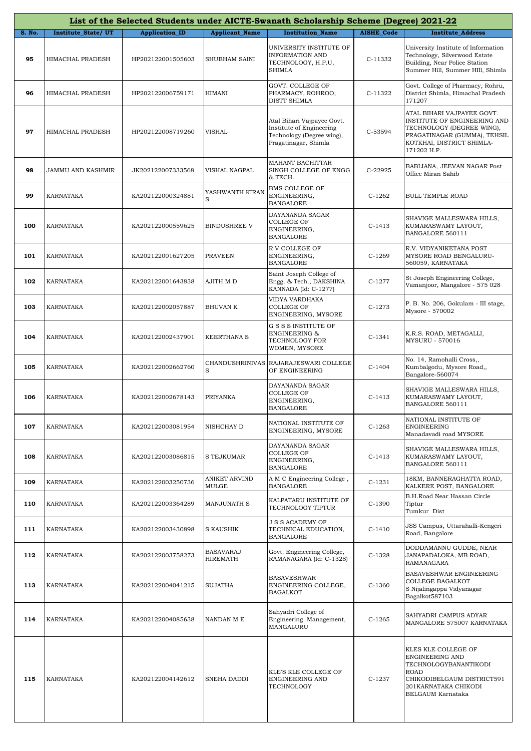|               |                    |                       |                              | List of the Selected Students under AICTE-Swanath Scholarship Scheme (Degree) 2021-22                       |                   |                                                                                                                                                                     |
|---------------|--------------------|-----------------------|------------------------------|-------------------------------------------------------------------------------------------------------------|-------------------|---------------------------------------------------------------------------------------------------------------------------------------------------------------------|
| <b>S. No.</b> | Institute_State/UT | <b>Application_ID</b> | <b>Applicant_Name</b>        | <b>Institution Name</b>                                                                                     | <b>AISHE Code</b> | <b>Institute Address</b>                                                                                                                                            |
| 95            | HIMACHAL PRADESH   | HP202122001505603     | SHUBHAM SAINI                | UNIVERSITY INSTITUTE OF<br><b>INFORMATION AND</b><br>TECHNOLOGY, H.P.U,<br><b>SHIMLA</b>                    | C-11332           | University Institute of Information<br>Technology, Silverwood Estate<br>Building, Near Police Station<br>Summer Hill, Summer HIll, Shimla                           |
| 96            | HIMACHAL PRADESH   | HP202122006759171     | HIMANI                       | GOVT. COLLEGE OF<br>PHARMACY, ROHROO,<br>DISTT SHIMLA                                                       | C-11322           | Govt. College of Pharmacy, Rohru,<br>District Shimla, Himachal Pradesh<br>171207                                                                                    |
| 97            | HIMACHAL PRADESH   | HP202122008719260     | <b>VISHAL</b>                | Atal Bihari Vajpayee Govt.<br>Institute of Engineering<br>Technology (Degree wing),<br>Pragatinagar, Shimla | C-53594           | ATAL BIHARI VAJPAYEE GOVT.<br>INSTITUTE OF ENGINEERING AND<br>TECHNOLOGY (DEGREE WING),<br>PRAGATINAGAR (GUMMA), TEHSIL<br>KOTKHAI, DISTRICT SHIMLA-<br>171202 H.P. |
| 98            | JAMMU AND KASHMIR  | JK202122007333568     | VISHAL NAGPAL                | MAHANT BACHITTAR<br>SINGH COLLEGE OF ENGG.<br>& TECH.                                                       | C-22925           | BABLIANA, JEEVAN NAGAR Post<br>Office Miran Sahib                                                                                                                   |
| 99            | KARNATAKA          | KA202122000324881     | YASHWANTH KIRAN<br>S         | <b>BMS COLLEGE OF</b><br>ENGINEERING,<br><b>BANGALORE</b>                                                   | $C-1262$          | <b>BULL TEMPLE ROAD</b>                                                                                                                                             |
| 100           | KARNATAKA          | KA202122000559625     | <b>BINDUSHREE V</b>          | DAYANANDA SAGAR<br><b>COLLEGE OF</b><br>ENGINEERING,<br><b>BANGALORE</b>                                    | $C-1413$          | SHAVIGE MALLESWARA HILLS,<br>KUMARASWAMY LAYOUT,<br>BANGALORE 560111                                                                                                |
| 101           | <b>KARNATAKA</b>   | KA202122001627205     | <b>PRAVEEN</b>               | R V COLLEGE OF<br>ENGINEERING,<br><b>BANGALORE</b>                                                          | $C-1269$          | R.V. VIDYANIKETANA POST<br>MYSORE ROAD BENGALURU-<br>560059, KARNATAKA                                                                                              |
| 102           | KARNATAKA          | KA202122001643838     | AJITH M D                    | Saint Joseph College of<br>Engg. & Tech., DAKSHINA<br>KANNADA (Id: C-1277)                                  | $C-1277$          | St Joseph Engineering College,<br>Vamanjoor, Mangalore - 575 028                                                                                                    |
| 103           | KARNATAKA          | KA202122002057887     | <b>BHUVAN K</b>              | VIDYA VARDHAKA<br><b>COLLEGE OF</b><br>ENGINEERING, MYSORE                                                  | $C-1273$          | P. B. No. 206, Gokulam - III stage,<br>Mysore - 570002                                                                                                              |
| 104           | KARNATAKA          | KA202122002437901     | <b>KEERTHANA S</b>           | G S S S INSTITUTE OF<br><b>ENGINEERING &amp;</b><br>TECHNOLOGY FOR<br>WOMEN, MYSORE                         | $C-1341$          | K.R.S. ROAD, METAGALLI,<br><b>MYSURU - 570016</b>                                                                                                                   |
| 105           | KARNATAKA          | KA202122002662760     | CHANDUSHRINIVAS<br>S         | RAJARAJESWARI COLLEGE<br>OF ENGINEERING                                                                     | $C-1404$          | No. 14, Ramohalli Cross,,<br>Kumbalgodu, Mysore Road,,<br>Bangalore-560074                                                                                          |
| 106           | KARNATAKA          | KA202122002678143     | PRIYANKA                     | DAYANANDA SAGAR<br><b>COLLEGE OF</b><br>ENGINEERING,<br><b>BANGALORE</b>                                    | $C-1413$          | SHAVIGE MALLESWARA HILLS,<br>KUMARASWAMY LAYOUT,<br>BANGALORE 560111                                                                                                |
| 107           | KARNATAKA          | KA202122003081954     | NISHCHAY D                   | NATIONAL INSTITUTE OF<br>ENGINEERING, MYSORE                                                                | $C-1263$          | NATIONAL INSTITUTE OF<br><b>ENGINEERING</b><br>Manadavadi road MYSORE                                                                                               |
| 108           | KARNATAKA          | KA202122003086815     | S TEJKUMAR                   | DAYANANDA SAGAR<br><b>COLLEGE OF</b><br>ENGINEERING,<br><b>BANGALORE</b>                                    | $C-1413$          | SHAVIGE MALLESWARA HILLS,<br>KUMARASWAMY LAYOUT,<br>BANGALORE 560111                                                                                                |
| 109           | KARNATAKA          | KA202122003250736     | ANIKET ARVIND<br>MULGE       | A M C Engineering College,<br><b>BANGALORE</b>                                                              | $C-1231$          | 18KM, BANNERAGHATTA ROAD,<br>KALKERE POST, BANGALORE                                                                                                                |
| 110           | KARNATAKA          | KA202122003364289     | MANJUNATH S                  | KALPATARU INSTITUTE OF<br>TECHNOLOGY TIPTUR                                                                 | $C-1390$          | B.H.Road Near Hassan Circle<br>Tiptur<br>Tumkur Dist                                                                                                                |
| 111           | KARNATAKA          | KA202122003430898     | <b>S KAUSHIK</b>             | <b>J S S ACADEMY OF</b><br>TECHNICAL EDUCATION,<br><b>BANGALORE</b>                                         | $C-1410$          | JSS Campus, Uttarahalli-Kengeri<br>Road, Bangalore                                                                                                                  |
| 112           | KARNATAKA          | KA202122003758273     | <b>BASAVARAJ</b><br>HIREMATH | Govt. Engineering College,<br>RAMANAGARA (Id: C-1328)                                                       | $C-1328$          | DODDAMANNU GUDDE, NEAR<br>JANAPADALOKA, MB ROAD,<br>RAMANAGARA                                                                                                      |
| 113           | KARNATAKA          | KA202122004041215     | SUJATHA                      | <b>BASAVESHWAR</b><br>ENGINEERING COLLEGE,<br><b>BAGALKOT</b>                                               | $C-1360$          | BASAVESHWAR ENGINEERING<br>COLLEGE BAGALKOT<br>S Nijalingappa Vidyanagar<br>Bagalkot587103                                                                          |
| 114           | KARNATAKA          | KA202122004085638     | NANDAN M E                   | Sahyadri College of<br>Engineering Management,<br>MANGALURU                                                 | $C-1265$          | SAHYADRI CAMPUS ADYAR<br>MANGALORE 575007 KARNATAKA                                                                                                                 |
| 115           | KARNATAKA          | KA202122004142612     | SNEHA DADDI                  | KLE'S KLE COLLEGE OF<br>ENGINEERING AND<br>TECHNOLOGY                                                       | $C-1237$          | KLES KLE COLLEGE OF<br>ENGINEERING AND<br>TECHNOLOGYBANANTIKODI<br><b>ROAD</b><br>CHIKODIBELGAUM DISTRICT591<br>201KARNATAKA CHIKODI<br>BELGAUM Karnataka           |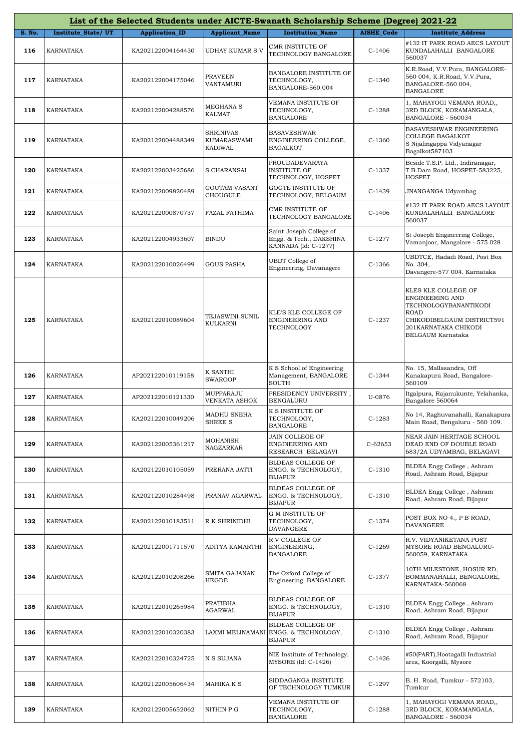|        | List of the Selected Students under AICTE-Swanath Scholarship Scheme (Degree) 2021-22 |                       |                                                   |                                                                             |                   |                                                                                                                                                           |  |  |
|--------|---------------------------------------------------------------------------------------|-----------------------|---------------------------------------------------|-----------------------------------------------------------------------------|-------------------|-----------------------------------------------------------------------------------------------------------------------------------------------------------|--|--|
| S. No. | Institute_State/UT                                                                    | <b>Application_ID</b> | <b>Applicant_Name</b>                             | <b>Institution Name</b>                                                     | <b>AISHE Code</b> | <b>Institute Address</b>                                                                                                                                  |  |  |
| 116    | KARNATAKA                                                                             | KA202122004164430     | <b>UDHAY KUMAR S V</b>                            | <b>CMR INSTITUTE OF</b><br>TECHNOLOGY BANGALORE                             | $C-1406$          | #132 IT PARK ROAD AECS LAYOUT<br>KUNDALAHALLI BANGALORE<br>560037                                                                                         |  |  |
| 117    | KARNATAKA                                                                             | KA202122004175046     | <b>PRAVEEN</b><br>VANTAMURI                       | BANGALORE INSTITUTE OF<br>TECHNOLOGY,<br>BANGALORE-560 004                  | C-1340            | K.R.Road, V.V.Pura, BANGALORE-<br>560 004, K.R.Road, V.V.Pura,<br>BANGALORE-560 004,<br><b>BANGALORE</b>                                                  |  |  |
| 118    | KARNATAKA                                                                             | KA202122004288576     | MEGHANA S<br><b>KALMAT</b>                        | VEMANA INSTITUTE OF<br>TECHNOLOGY,<br><b>BANGALORE</b>                      | $C-1288$          | 1, MAHAYOGI VEMANA ROAD,,<br>3RD BLOCK, KORAMANGALA,<br>BANGALORE - 560034                                                                                |  |  |
| 119    | KARNATAKA                                                                             | KA202122004488349     | <b>SHRINIVAS</b><br>KUMARASWAMI<br><b>KADIWAL</b> | <b>BASAVESHWAR</b><br>ENGINEERING COLLEGE,<br><b>BAGALKOT</b>               | $C-1360$          | BASAVESHWAR ENGINEERING<br><b>COLLEGE BAGALKOT</b><br>S Nijalingappa Vidyanagar<br>Bagalkot587103                                                         |  |  |
| 120    | KARNATAKA                                                                             | KA202122003425686     | S CHARANSAI                                       | PROUDADEVARAYA<br><b>INSTITUTE OF</b><br>TECHNOLOGY, HOSPET                 | $C-1337$          | Beside T.S.P. Ltd., Indiranagar,<br>T.B.Dam Road, HOSPET-583225,<br><b>HOSPET</b>                                                                         |  |  |
| 121    | KARNATAKA                                                                             | KA202122009820489     | <b>GOUTAM VASANT</b><br>CHOUGULE                  | GOGTE INSTITUTE OF<br>TECHNOLOGY, BELGAUM                                   | C-1439            | JNANGANGA Udyambag                                                                                                                                        |  |  |
| 122    | KARNATAKA                                                                             | KA202122000870737     | FAZAL FATHIMA                                     | CMR INSTITUTE OF<br>TECHNOLOGY BANGALORE                                    | $C-1406$          | #132 IT PARK ROAD AECS LAYOUT<br>KUNDALAHALLI BANGALORE<br>560037                                                                                         |  |  |
| 123    | KARNATAKA                                                                             | KA202122004933607     | BINDU                                             | Saint Joseph College of<br>Engg. & Tech., DAKSHINA<br>KANNADA (Id: C-1277)  | $C-1277$          | St Joseph Engineering College,<br>Vamanjoor, Mangalore - 575 028                                                                                          |  |  |
| 124    | KARNATAKA                                                                             | KA202122010026499     | <b>GOUS PASHA</b>                                 | UBDT College of<br>Engineering, Davanagere                                  | $C-1366$          | UBDTCE, Hadadi Road, Post Box<br>No. 304,<br>Davangere-577 004. Karnataka                                                                                 |  |  |
| 125    | KARNATAKA                                                                             | KA202122010089604     | TEJASWINI SUNIL<br>KULKARNI                       | KLE'S KLE COLLEGE OF<br>ENGINEERING AND<br>TECHNOLOGY                       | $C-1237$          | KLES KLE COLLEGE OF<br>ENGINEERING AND<br>TECHNOLOGYBANANTIKODI<br><b>ROAD</b><br>CHIKODIBELGAUM DISTRICT591<br>201KARNATAKA CHIKODI<br>BELGAUM Karnataka |  |  |
| 126    | KARNATAKA                                                                             | AP202122010119158     | K SANTHI<br><b>SWAROOP</b>                        | K S School of Engineering<br>Management, BANGALORE<br><b>SOUTH</b>          | $C-1344$          | No. 15, Mallasandra, Off<br>Kanakapura Road, Bangalore-<br>560109                                                                                         |  |  |
| 127    | KARNATAKA                                                                             | AP202122010121330     | MUPPARAJU<br>VENKATA ASHOK                        | PRESIDENCY UNIVERSITY,<br><b>BENGALURU</b>                                  | U-0876            | Itgalpura, Rajanukunte, Yelahanka,<br>Bangalore 560064                                                                                                    |  |  |
| 128    | KARNATAKA                                                                             | KA202122010049206     | MADHU SNEHA<br>SHREE S                            | K S INSTITUTE OF<br>TECHNOLOGY,<br><b>BANGALORE</b>                         | $C-1283$          | No 14, Raghuvanahalli, Kanakapura<br>Main Road, Bengaluru - 560 109.                                                                                      |  |  |
| 129    | KARNATAKA                                                                             | KA202122005361217     | MOHANISH<br>NAGZARKAR                             | JAIN COLLEGE OF<br>ENGINEERING AND<br>RESEARCH BELAGAVI                     | $C-62653$         | NEAR JAIN HERITAGE SCHOOL<br>DEAD END OF DOUBLE ROAD<br>683/2A UDYAMBAG, BELAGAVI                                                                         |  |  |
| 130    | KARNATAKA                                                                             | KA202122010105059     | PRERANA JATTI                                     | BLDEAS COLLEGE OF<br>ENGG. & TECHNOLOGY,<br><b>BIJAPUR</b>                  | $C-1310$          | BLDEA Engg College, Ashram<br>Road, Ashram Road, Bijapur                                                                                                  |  |  |
| 131    | KARNATAKA                                                                             | KA202122010284498     | PRANAV AGARWAL                                    | BLDEAS COLLEGE OF<br>ENGG. & TECHNOLOGY,<br>BIJAPUR                         | $C-1310$          | BLDEA Engg College, Ashram<br>Road, Ashram Road, Bijapur                                                                                                  |  |  |
| 132    | KARNATAKA                                                                             | KA202122010183511     | R K SHRINIDHI                                     | <b>G M INSTITUTE OF</b><br>TECHNOLOGY,<br>DAVANGERE                         | C-1374            | POST BOX NO 4., P B ROAD,<br>DAVANGERE                                                                                                                    |  |  |
| 133    | KARNATAKA                                                                             | KA202122001711570     | ADITYA KAMARTHI                                   | R V COLLEGE OF<br>ENGINEERING,<br><b>BANGALORE</b>                          | C-1269            | R.V. VIDYANIKETANA POST<br>MYSORE ROAD BENGALURU-<br>560059, KARNATAKA                                                                                    |  |  |
| 134    | KARNATAKA                                                                             | KA202122010208266     | SMITA GAJANAN<br><b>HEGDE</b>                     | The Oxford College of<br>Engineering, BANGALORE                             | C-1377            | 10TH MILESTONE, HOSUR RD,<br>BOMMANAHALLI, BENGALORE,<br>KARNATAKA-560068                                                                                 |  |  |
| 135    | KARNATAKA                                                                             | KA202122010265984     | PRATIBHA<br>AGARWAL                               | BLDEAS COLLEGE OF<br>ENGG. & TECHNOLOGY,<br><b>BIJAPUR</b>                  | $C-1310$          | BLDEA Engg College, Ashram<br>Road, Ashram Road, Bijapur                                                                                                  |  |  |
| 136    | KARNATAKA                                                                             | KA202122010320383     |                                                   | BLDEAS COLLEGE OF<br>LAXMI MELINAMANI ENGG. & TECHNOLOGY,<br><b>BIJAPUR</b> | $C-1310$          | BLDEA Engg College, Ashram<br>Road, Ashram Road, Bijapur                                                                                                  |  |  |
| 137    | KARNATAKA                                                                             | KA202122010324725     | N S SUJANA                                        | NIE Institute of Technology,<br>MYSORE $Id: C-1426$                         | C-1426            | #50(PART), Hootagalli Industrial<br>area, Koorgalli, Mysore                                                                                               |  |  |
| 138    | KARNATAKA                                                                             | KA202122005606434     | MAHIKA K S                                        | SIDDAGANGA INSTITUTE<br>OF TECHNOLOGY TUMKUR                                | $C-1297$          | B. H. Road, Tumkur - 572103,<br>Tumkur                                                                                                                    |  |  |
| 139    | KARNATAKA                                                                             | KA202122005652062     | NITHIN P G                                        | VEMANA INSTITUTE OF<br>TECHNOLOGY,<br>BANGALORE                             | $C-1288$          | 1, MAHAYOGI VEMANA ROAD,,<br>3RD BLOCK, KORAMANGALA,<br>BANGALORE - 560034                                                                                |  |  |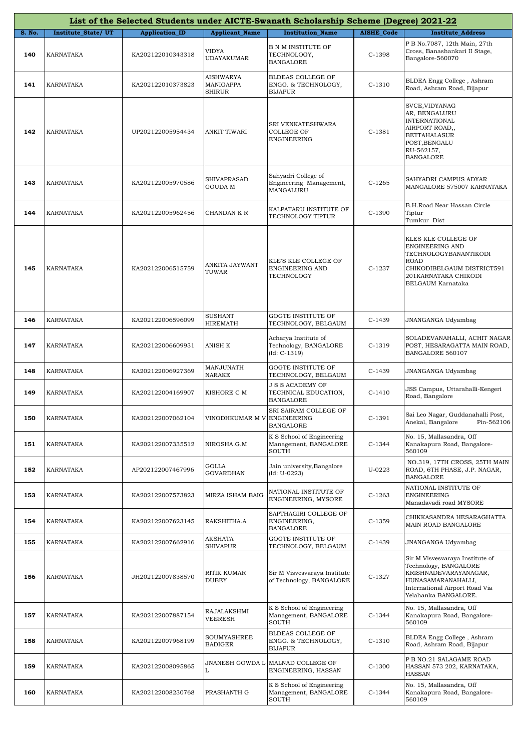|               | List of the Selected Students under AICTE-Swanath Scholarship Scheme (Degree) 2021-22 |                       |                                  |                                                                 |                   |                                                                                                                                                                   |  |  |
|---------------|---------------------------------------------------------------------------------------|-----------------------|----------------------------------|-----------------------------------------------------------------|-------------------|-------------------------------------------------------------------------------------------------------------------------------------------------------------------|--|--|
| <b>S. No.</b> | <b>Institute State/UT</b>                                                             | <b>Application_ID</b> | <b>Applicant_Name</b>            | <b>Institution Name</b>                                         | <b>AISHE_Code</b> | <b>Institute Address</b>                                                                                                                                          |  |  |
| 140           | KARNATAKA                                                                             | KA202122010343318     | VIDYA<br><b>UDAYAKUMAR</b>       | B N M INSTITUTE OF<br>TECHNOLOGY,<br><b>BANGALORE</b>           | $C-1398$          | P B No.7087, 12th Main, 27th<br>Cross, Banashankari II Stage,<br>Bangalore-560070                                                                                 |  |  |
| 141           | KARNATAKA                                                                             | KA202122010373823     | AISHWARYA<br>MANIGAPPA<br>SHIRUR | BLDEAS COLLEGE OF<br>ENGG. & TECHNOLOGY,<br>BIJAPUR             | $C-1310$          | BLDEA Engg College, Ashram<br>Road, Ashram Road, Bijapur                                                                                                          |  |  |
| 142           | KARNATAKA                                                                             | UP202122005954434     | ANKIT TIWARI                     | SRI VENKATESHWARA<br>COLLEGE OF<br>ENGINEERING                  | $C-1381$          | SVCE, VIDYANAG<br>AR, BENGALURU<br><b>INTERNATIONAL</b><br>AIRPORT ROAD,,<br><b>BETTAHALASUR</b><br>POST, BENGALU<br>RU-562157,<br><b>BANGALORE</b>               |  |  |
| 143           | KARNATAKA                                                                             | KA202122005970586     | SHIVAPRASAD<br>GOUDA M           | Sahyadri College of<br>Engineering Management,<br>MANGALURU     | $C-1265$          | SAHYADRI CAMPUS ADYAR<br>MANGALORE 575007 KARNATAKA                                                                                                               |  |  |
| 144           | KARNATAKA                                                                             | KA202122005962456     | CHANDAN K R                      | KALPATARU INSTITUTE OF<br>TECHNOLOGY TIPTUR                     | $C-1390$          | B.H.Road Near Hassan Circle<br>Tiptur<br>Tumkur Dist                                                                                                              |  |  |
| 145           | KARNATAKA                                                                             | KA202122006515759     | ANKITA JAYWANT<br>TUWAR          | KLE'S KLE COLLEGE OF<br>ENGINEERING AND<br>TECHNOLOGY           | $C-1237$          | KLES KLE COLLEGE OF<br>ENGINEERING AND<br>TECHNOLOGYBANANTIKODI<br><b>ROAD</b><br>CHIKODIBELGAUM DISTRICT591<br>201 KARNATAKA CHIKODI<br>BELGAUM Karnataka        |  |  |
| 146           | KARNATAKA                                                                             | KA202122006596099     | SUSHANT<br>HIREMATH              | GOGTE INSTITUTE OF<br>TECHNOLOGY, BELGAUM                       | $C-1439$          | JNANGANGA Udyambag                                                                                                                                                |  |  |
| 147           | KARNATAKA                                                                             | KA202122006609931     | ANISH K                          | Acharya Institute of<br>Technology, BANGALORE<br>$(Id: C-1319)$ | $C-1319$          | SOLADEVANAHALLI, ACHIT NAGAR<br>POST, HESARAGATTA MAIN ROAD,<br>BANGALORE 560107                                                                                  |  |  |
| 148           | KARNATAKA                                                                             | KA202122006927369     | MANJUNATH<br>NARAKE              | <b>GOGTE INSTITUTE OF</b><br>TECHNOLOGY, BELGAUM                | $C-1439$          | JNANGANGA Udyambag                                                                                                                                                |  |  |
| 149           | KARNATAKA                                                                             | KA202122004169907     | KISHORE C M                      | J S S ACADEMY OF<br>TECHNICAL EDUCATION,<br>BANGALORE           | $C-1410$          | JSS Campus, Uttarahalli-Kengeri<br>Road, Bangalore                                                                                                                |  |  |
| 150           | <b>KARNATAKA</b>                                                                      | KA202122007062104     | VINODHKUMAR M V ENGINEERING      | SRI SAIRAM COLLEGE OF<br><b>BANGALORE</b>                       | $C-1391$          | Sai Leo Nagar, Guddanahalli Post,<br>Anekal, Bangalore<br>Pin-562106                                                                                              |  |  |
| 151           | KARNATAKA                                                                             | KA202122007335512     | NIROSHA.G.M                      | K S School of Engineering<br>Management, BANGALORE<br>SOUTH     | $C-1344$          | No. 15, Mallasandra, Off<br>Kanakapura Road, Bangalore-<br>560109                                                                                                 |  |  |
| 152           | KARNATAKA                                                                             | AP202122007467996     | GOLLA<br>GOVARDHAN               | Jain university, Bangalore<br>$(Id: U-0223)$                    | U-0223            | NO.319, 17TH CROSS, 25TH MAIN<br>ROAD, 6TH PHASE, J.P. NAGAR,<br><b>BANGALORE</b>                                                                                 |  |  |
| 153           | KARNATAKA                                                                             | KA202122007573823     | MIRZA ISHAM BAIG                 | NATIONAL INSTITUTE OF<br>ENGINEERING, MYSORE                    | $C-1263$          | NATIONAL INSTITUTE OF<br>ENGINEERING<br>Manadavadi road MYSORE                                                                                                    |  |  |
| 154           | KARNATAKA                                                                             | KA202122007623145     | RAKSHITHA.A                      | SAPTHAGIRI COLLEGE OF<br>ENGINEERING,<br>BANGALORE              | $C-1359$          | CHIKKASANDRA HESARAGHATTA<br>MAIN ROAD BANGALORE                                                                                                                  |  |  |
| 155           | KARNATAKA                                                                             | KA202122007662916     | AKSHATA<br>SHIVAPUR              | GOGTE INSTITUTE OF<br>TECHNOLOGY, BELGAUM                       | $C-1439$          | JNANGANGA Udyambag                                                                                                                                                |  |  |
| 156           | KARNATAKA                                                                             | JH202122007838570     | RITIK KUMAR<br>DUBEY             | Sir M Visvesvaraya Institute<br>of Technology, BANGALORE        | $C-1327$          | Sir M Visvesvaraya Institute of<br>Technology, BANGALORE<br>KRISHNADEVARAYANAGAR,<br>HUNASAMARANAHALLI,<br>International Airport Road Via<br>Yelahanka BANGALORE. |  |  |
| 157           | KARNATAKA                                                                             | KA202122007887154     | RAJALAKSHMI<br>VEERESH           | K S School of Engineering<br>Management, BANGALORE<br>SOUTH     | $C-1344$          | No. 15, Mallasandra, Off<br>Kanakapura Road, Bangalore-<br>560109                                                                                                 |  |  |
| 158           | KARNATAKA                                                                             | KA202122007968199     | SOUMYASHREE<br>BADIGER           | BLDEAS COLLEGE OF<br>ENGG. & TECHNOLOGY,<br><b>BIJAPUR</b>      | $C-1310$          | BLDEA Engg College, Ashram<br>Road, Ashram Road, Bijapur                                                                                                          |  |  |
| 159           | KARNATAKA                                                                             | KA202122008095865     | JNANESH GOWDA L<br>L             | MALNAD COLLEGE OF<br>ENGINEERING, HASSAN                        | $C-1300$          | P B NO.21 SALAGAME ROAD<br>HASSAN 573 202, KARNATAKA,<br><b>HASSAN</b>                                                                                            |  |  |
| 160           | KARNATAKA                                                                             | KA202122008230768     | PRASHANTH G                      | K S School of Engineering<br>Management, BANGALORE<br>SOUTH     | $C-1344$          | No. 15, Mallasandra, Off<br>Kanakapura Road, Bangalore-<br>560109                                                                                                 |  |  |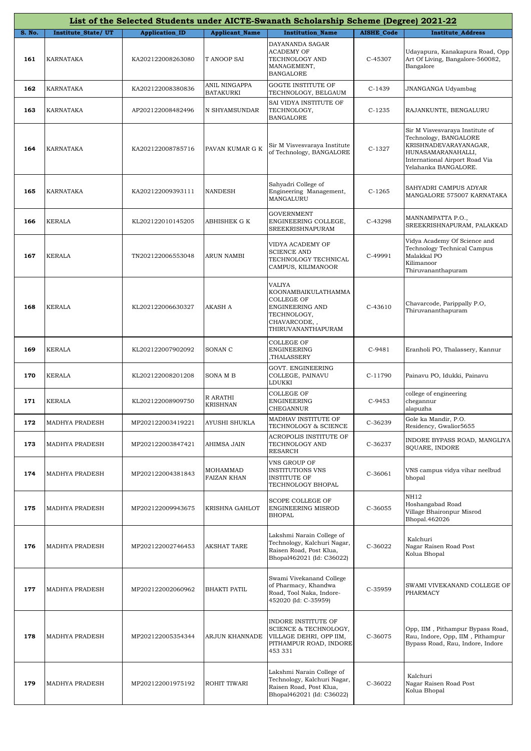|               |                       |                       |                                   | List of the Selected Students under AICTE-Swanath Scholarship Scheme (Degree) 2021-22                               |                   |                                                                                                                                                                   |
|---------------|-----------------------|-----------------------|-----------------------------------|---------------------------------------------------------------------------------------------------------------------|-------------------|-------------------------------------------------------------------------------------------------------------------------------------------------------------------|
| <b>S. No.</b> | Institute_State/UT    | <b>Application ID</b> | <b>Applicant_Name</b>             | <b>Institution Name</b>                                                                                             | <b>AISHE_Code</b> | <b>Institute Address</b>                                                                                                                                          |
| 161           | KARNATAKA             | KA202122008263080     | T ANOOP SAI                       | DAYANANDA SAGAR<br><b>ACADEMY OF</b><br>TECHNOLOGY AND<br>MANAGEMENT,<br><b>BANGALORE</b>                           | C-45307           | Udayapura, Kanakapura Road, Opp<br>Art Of Living, Bangalore-560082,<br>Bangalore                                                                                  |
| 162           | KARNATAKA             | KA202122008380836     | ANIL NINGAPPA<br><b>BATAKURKI</b> | GOGTE INSTITUTE OF<br>TECHNOLOGY, BELGAUM                                                                           | $C-1439$          | JNANGANGA Udyambag                                                                                                                                                |
| 163           | KARNATAKA             | AP202122008482496     | N SHYAMSUNDAR                     | SAI VIDYA INSTITUTE OF<br>TECHNOLOGY,<br><b>BANGALORE</b>                                                           | $C-1235$          | RAJANKUNTE, BENGALURU                                                                                                                                             |
| 164           | KARNATAKA             | KA202122008785716     | PAVAN KUMAR G K                   | Sir M Visvesvaraya Institute<br>of Technology, BANGALORE                                                            | $C-1327$          | Sir M Visvesvaraya Institute of<br>Technology, BANGALORE<br>KRISHNADEVARAYANAGAR,<br>HUNASAMARANAHALLI,<br>International Airport Road Via<br>Yelahanka BANGALORE. |
| 165           | KARNATAKA             | KA202122009393111     | NANDESH                           | Sahyadri College of<br>Engineering Management,<br>MANGALURU                                                         | $C-1265$          | SAHYADRI CAMPUS ADYAR<br>MANGALORE 575007 KARNATAKA                                                                                                               |
| 166           | <b>KERALA</b>         | KL202122010145205     | ABHISHEK G K                      | GOVERNMENT<br>ENGINEERING COLLEGE,<br>SREEKRISHNAPURAM                                                              | C-43298           | MANNAMPATTA P.O.,<br>SREEKRISHNAPURAM, PALAKKAD                                                                                                                   |
| 167           | <b>KERALA</b>         | TN202122006553048     | <b>ARUN NAMBI</b>                 | VIDYA ACADEMY OF<br><b>SCIENCE AND</b><br>TECHNOLOGY TECHNICAL<br>CAMPUS, KILIMANOOR                                | C-49991           | Vidya Academy Of Science and<br>Technology Technical Campus<br>Malakkal PO<br>Kilimanoor<br>Thiruvananthapuram                                                    |
| 168           | <b>KERALA</b>         | KL202122006630327     | AKASH A                           | VALIYA<br>KOONAMBAIKULATHAMMA<br>COLLEGE OF<br>ENGINEERING AND<br>TECHNOLOGY,<br>CHAVARCODE,,<br>THIRUVANANTHAPURAM | C-43610           | Chavarcode, Parippally P.O,<br>Thiruvananthapuram                                                                                                                 |
| 169           | <b>KERALA</b>         | KL202122007902092     | SONAN C                           | COLLEGE OF<br>ENGINEERING<br>,THALASSERY                                                                            | C-9481            | Eranholi PO, Thalassery, Kannur                                                                                                                                   |
| 170           | <b>KERALA</b>         | KL202122008201208     | <b>SONAMB</b>                     | GOVT. ENGINEERING<br>COLLEGE, PAINAVU<br>LDUKKI                                                                     | C-11790           | Painavu PO, Idukki, Painavu                                                                                                                                       |
| 171           | <b>KERALA</b>         | KL202122008909750     | R ARATHI<br><b>KRISHNAN</b>       | COLLEGE OF<br>ENGINEERING<br>CHEGANNUR                                                                              | C-9453            | college of engineering<br>chegannur<br>alapuzha                                                                                                                   |
| 172           | <b>MADHYA PRADESH</b> | MP202122003419221     | AYUSHI SHUKLA                     | MADHAV INSTITUTE OF<br>TECHNOLOGY & SCIENCE                                                                         | C-36239           | Gole ka Mandir, P.O.<br>Residency, Gwalior5655                                                                                                                    |
| 173           | MADHYA PRADESH        | MP202122003847421     | AHIMSA JAIN                       | ACROPOLIS INSTITUTE OF<br>TECHNOLOGY AND<br>RESARCH                                                                 | C-36237           | INDORE BYPASS ROAD, MANGLIYA<br>SQUARE, INDORE                                                                                                                    |
| 174           | MADHYA PRADESH        | MP202122004381843     | MOHAMMAD<br>FAIZAN KHAN           | VNS GROUP OF<br><b>INSTITUTIONS VNS</b><br><b>INSTITUTE OF</b><br>TECHNOLOGY BHOPAL                                 | $C-36061$         | VNS campus vidya vihar neelbud<br>bhopal                                                                                                                          |
| 175           | MADHYA PRADESH        | MP202122009943675     | <b>KRISHNA GAHLOT</b>             | SCOPE COLLEGE OF<br>ENGINEERING MISROD<br>BHOPAL                                                                    | C-36055           | NH12<br>Hoshangabad Road<br>Village Bhaironpur Misrod<br>Bhopal.462026                                                                                            |
| 176           | MADHYA PRADESH        | MP202122002746453     | <b>AKSHAT TARE</b>                | Lakshmi Narain College of<br>Technology, Kalchuri Nagar,<br>Raisen Road, Post Klua,<br>Bhopal462021 (Id: C36022)    | C-36022           | Kalchuri<br>Nagar Raisen Road Post<br>Kolua Bhopal                                                                                                                |
| 177           | MADHYA PRADESH        | MP202122002060962     | <b>BHAKTI PATIL</b>               | Swami Vivekanand College<br>of Pharmacy, Khandwa<br>Road, Tool Naka, Indore-<br>452020 (Id: C-35959)                | C-35959           | SWAMI VIVEKANAND COLLEGE OF<br>PHARMACY                                                                                                                           |
| 178           | MADHYA PRADESH        | MP202122005354344     | ARJUN KHANNADE                    | INDORE INSTITUTE OF<br>SCIENCE & TECHNOLOGY,<br>VILLAGE DEHRI, OPP IIM,<br>PITHAMPUR ROAD, INDORE<br>453 331        | C-36075           | Opp, IIM, Pithampur Bypass Road,<br>Rau, Indore, Opp, IIM, Pithampur<br>Bypass Road, Rau, Indore, Indore                                                          |
| 179           | MADHYA PRADESH        | MP202122001975192     | ROHIT TIWARI                      | Lakshmi Narain College of<br>Technology, Kalchuri Nagar,<br>Raisen Road, Post Klua,<br>Bhopal462021 (Id: C36022)    | C-36022           | Kalchuri<br>Nagar Raisen Road Post<br>Kolua Bhopal                                                                                                                |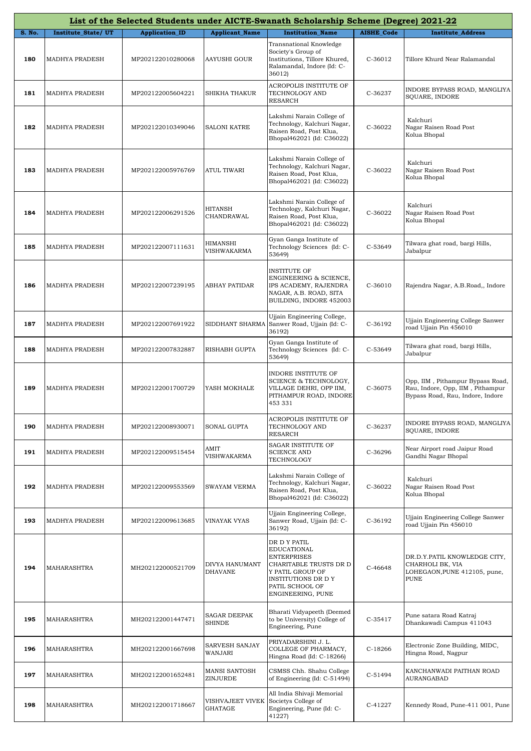|        | List of the Selected Students under AICTE-Swanath Scholarship Scheme (Degree) 2021-22 |                       |                                  |                                                                                                                                                                       |                   |                                                                                                          |  |  |
|--------|---------------------------------------------------------------------------------------|-----------------------|----------------------------------|-----------------------------------------------------------------------------------------------------------------------------------------------------------------------|-------------------|----------------------------------------------------------------------------------------------------------|--|--|
| S. No. | Institute_State/UT                                                                    | <b>Application_ID</b> | <b>Applicant_Name</b>            | <b>Institution Name</b>                                                                                                                                               | <b>AISHE_Code</b> | <b>Institute Address</b>                                                                                 |  |  |
| 180    | MADHYA PRADESH                                                                        | MP202122010280068     | <b>AAYUSHI GOUR</b>              | Transnational Knowledge<br>Society's Group of<br>Institutions, Tillore Khured,<br>Ralamandal, Indore (Id: C-<br>36012)                                                | C-36012           | Tillore Khurd Near Ralamandal                                                                            |  |  |
| 181    | MADHYA PRADESH                                                                        | MP202122005604221     | SHIKHA THAKUR                    | ACROPOLIS INSTITUTE OF<br>TECHNOLOGY AND<br><b>RESARCH</b>                                                                                                            | C-36237           | INDORE BYPASS ROAD, MANGLIYA<br>SQUARE, INDORE                                                           |  |  |
| 182    | <b>MADHYA PRADESH</b>                                                                 | MP202122010349046     | <b>SALONI KATRE</b>              | Lakshmi Narain College of<br>Technology, Kalchuri Nagar,<br>Raisen Road, Post Klua,<br>Bhopal462021 (Id: C36022)                                                      | C-36022           | Kalchuri<br>Nagar Raisen Road Post<br>Kolua Bhopal                                                       |  |  |
| 183    | MADHYA PRADESH                                                                        | MP202122005976769     | ATUL TIWARI                      | Lakshmi Narain College of<br>Technology, Kalchuri Nagar,<br>Raisen Road, Post Klua,<br>Bhopal462021 (Id: C36022)                                                      | C-36022           | Kalchuri<br>Nagar Raisen Road Post<br>Kolua Bhopal                                                       |  |  |
| 184    | MADHYA PRADESH                                                                        | MP202122006291526     | HITANSH<br>CHANDRAWAL            | Lakshmi Narain College of<br>Technology, Kalchuri Nagar,<br>Raisen Road, Post Klua,<br>Bhopal462021 (Id: C36022)                                                      | C-36022           | Kalchuri<br>Nagar Raisen Road Post<br>Kolua Bhopal                                                       |  |  |
| 185    | <b>MADHYA PRADESH</b>                                                                 | MP202122007111631     | <b>HIMANSHI</b><br>VISHWAKARMA   | Gyan Ganga Institute of<br>Technology Sciences (Id: C-<br>53649)                                                                                                      | C-53649           | Tilwara ghat road, bargi Hills,<br>Jabalpur                                                              |  |  |
| 186    | <b>MADHYA PRADESH</b>                                                                 | MP202122007239195     | ABHAY PATIDAR                    | <b>INSTITUTE OF</b><br>ENGINEERING & SCIENCE,<br>IPS ACADEMY, RAJENDRA<br>NAGAR, A.B. ROAD, SITA<br>BUILDING, INDORE 452003                                           | C-36010           | Rajendra Nagar, A.B.Road,, Indore                                                                        |  |  |
| 187    | MADHYA PRADESH                                                                        | MP202122007691922     | SIDDHANT SHARMA                  | Ujjain Engineering College,<br>Sanwer Road, Ujjain (Id: C-<br>36192)                                                                                                  | C-36192           | Ujjain Engineering College Sanwer<br>road Ujjain Pin 456010                                              |  |  |
| 188    | MADHYA PRADESH                                                                        | MP202122007832887     | RISHABH GUPTA                    | Gyan Ganga Institute of<br>Technology Sciences (Id: C-<br>53649)                                                                                                      | C-53649           | Tilwara ghat road, bargi Hills,<br>Jabalpur                                                              |  |  |
| 189    | MADHYA PRADESH                                                                        | MP202122001700729     | YASH MOKHALE                     | INDORE INSTITUTE OF<br>SCIENCE & TECHNOLOGY,<br>VILLAGE DEHRI, OPP IIM,<br>PITHAMPUR ROAD, INDORE<br>453 331                                                          | C-36075           | Opp, IIM, Pithampur Bypass Road,<br>Rau, Indore, Opp, IIM, Pithampur<br>Bypass Road, Rau, Indore, Indore |  |  |
| 190    | MADHYA PRADESH                                                                        | MP202122008930071     | SONAL GUPTA                      | ACROPOLIS INSTITUTE OF<br>TECHNOLOGY AND<br><b>RESARCH</b>                                                                                                            | C-36237           | INDORE BYPASS ROAD, MANGLIYA<br>SQUARE, INDORE                                                           |  |  |
| 191    | MADHYA PRADESH                                                                        | MP202122009515454     | AMIT<br>VISHWAKARMA              | SAGAR INSTITUTE OF<br><b>SCIENCE AND</b><br>TECHNOLOGY                                                                                                                | C-36296           | Near Airport road Jaipur Road<br>Gandhi Nagar Bhopal                                                     |  |  |
| 192    | MADHYA PRADESH                                                                        | MP202122009553569     | SWAYAM VERMA                     | Lakshmi Narain College of<br>Technology, Kalchuri Nagar,<br>Raisen Road, Post Klua,<br>Bhopal462021 (Id: C36022)                                                      | C-36022           | Kalchuri<br>Nagar Raisen Road Post<br>Kolua Bhopal                                                       |  |  |
| 193    | MADHYA PRADESH                                                                        | MP202122009613685     | VINAYAK VYAS                     | Ujjain Engineering College,<br>Sanwer Road, Ujjain (Id: C-<br>36192)                                                                                                  | C-36192           | Ujjain Engineering College Sanwer<br>road Ujjain Pin 456010                                              |  |  |
| 194    | MAHARASHTRA                                                                           | MH202122000521709     | DIVYA HANUMANT<br><b>DHAVANE</b> | DR D Y PATIL<br><b>EDUCATIONAL</b><br><b>ENTERPRISES</b><br>CHARITABLE TRUSTS DR D<br>Y PATIL GROUP OF<br>INSTITUTIONS DR D Y<br>PATIL SCHOOL OF<br>ENGINEERING, PUNE | C-46648           | DR.D.Y.PATIL KNOWLEDGE CITY,<br>CHARHOLI BK, VIA<br>LOHEGAON, PUNE 412105, pune,<br>PUNE                 |  |  |
| 195    | MAHARASHTRA                                                                           | MH202122001447471     | SAGAR DEEPAK<br>SHINDE           | Bharati Vidyapeeth (Deemed<br>to be University) College of<br>Engineering, Pune                                                                                       | $C-35417$         | Pune satara Road Katraj<br>Dhankawadi Campus 411043                                                      |  |  |
| 196    | MAHARASHTRA                                                                           | MH202122001667698     | SARVESH SANJAY<br>WANJARI        | PRIYADARSHINI J. L.<br>COLLEGE OF PHARMACY,<br>Hingna Road (Id: C-18266)                                                                                              | C-18266           | Electronic Zone Building, MIDC,<br>Hingna Road, Nagpur                                                   |  |  |
| 197    | MAHARASHTRA                                                                           | MH202122001652481     | MANSI SANTOSH<br>ZINJURDE        | CSMSS Chh. Shahu College<br>of Engineering (Id: C-51494)                                                                                                              | C-51494           | KANCHANWADI PAITHAN ROAD<br>AURANGABAD                                                                   |  |  |
| 198    | MAHARASHTRA                                                                           | MH202122001718667     | VISHVAJEET VIVEK<br>GHATAGE      | All India Shivaji Memorial<br>Societys College of<br>Engineering, Pune (Id: C-<br>41227)                                                                              | C-41227           | Kennedy Road, Pune-411 001, Pune                                                                         |  |  |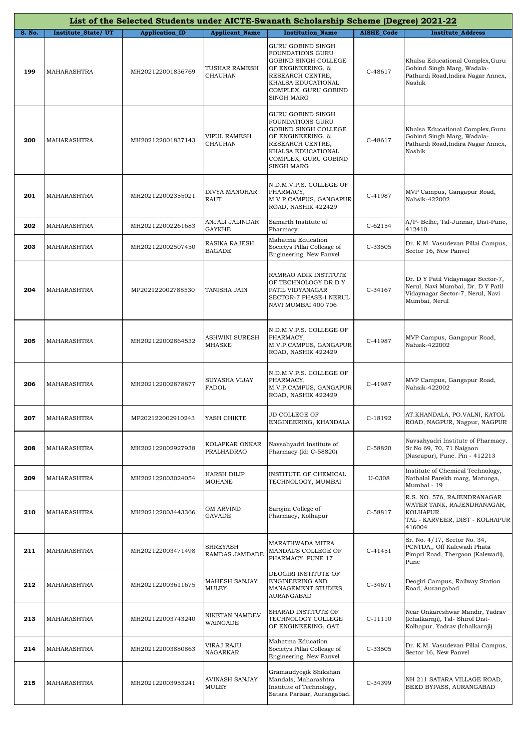|        |                    |                       |                                       | List of the Selected Students under AICTE-Swanath Scholarship Scheme (Degree) 2021-22                                                                                     |                   |                                                                                                                              |
|--------|--------------------|-----------------------|---------------------------------------|---------------------------------------------------------------------------------------------------------------------------------------------------------------------------|-------------------|------------------------------------------------------------------------------------------------------------------------------|
| S. No. | Institute_State/UT | <b>Application_ID</b> | <b>Applicant_Name</b>                 | <b>Institution Name</b>                                                                                                                                                   | <b>AISHE Code</b> | <b>Institute Address</b>                                                                                                     |
| 199    | MAHARASHTRA        | MH202122001836769     | TUSHAR RAMESH<br><b>CHAUHAN</b>       | GURU GOBIND SINGH<br>FOUNDATIONS GURU<br>GOBIND SINGH COLLEGE<br>OF ENGINEERING, &<br>RESEARCH CENTRE,<br>KHALSA EDUCATIONAL<br>COMPLEX, GURU GOBIND<br>SINGH MARG        | C-48617           | Khalsa Educational Complex, Guru<br>Gobind Singh Marg, Wadala-<br>Pathardi Road, Indira Nagar Annex,<br>Nashik               |
| 200    | MAHARASHTRA        | MH202122001837143     | <b>VIPUL RAMESH</b><br><b>CHAUHAN</b> | <b>GURU GOBIND SINGH</b><br>FOUNDATIONS GURU<br>GOBIND SINGH COLLEGE<br>OF ENGINEERING, &<br>RESEARCH CENTRE,<br>KHALSA EDUCATIONAL<br>COMPLEX, GURU GOBIND<br>SINGH MARG | C-48617           | Khalsa Educational Complex, Guru<br>Gobind Singh Marg, Wadala-<br>Pathardi Road, Indira Nagar Annex,<br>Nashik               |
| 201    | MAHARASHTRA        | MH202122002355021     | DIVYA MANOHAR<br><b>RAUT</b>          | N.D.M.V.P.S. COLLEGE OF<br>PHARMACY,<br>M.V.P.CAMPUS, GANGAPUR<br>ROAD, NASHIK 422429                                                                                     | C-41987           | MVP Campus, Gangapur Road,<br>Nahsik-422002                                                                                  |
| 202    | MAHARASHTRA        | MH202122002261683     | ANJALI JALINDAR<br><b>GAYKHE</b>      | Samarth Institute of<br>Pharmacy                                                                                                                                          | $C-62154$         | A/P- Belhe, Tal-Junnar, Dist-Pune,<br>412410.                                                                                |
| 203    | MAHARASHTRA        | MH202122002507450     | RASIKA RAJESH<br><b>BAGADE</b>        | Mahatma Education<br>Societys Pillai Colleage of<br>Engineering, New Panvel                                                                                               | C-33505           | Dr. K.M. Vasudevan Pillai Campus,<br>Sector 16, New Panvel                                                                   |
| 204    | MAHARASHTRA        | MP202122002788530     | <b>TANISHA JAIN</b>                   | RAMRAO ADIK INSTITUTE<br>OF TECHNOLOGY DR D Y<br>PATIL VIDYANAGAR<br>SECTOR-7 PHASE-I NERUL<br>NAVI MUMBAI 400 706                                                        | $C-34167$         | Dr. D Y Patil Vidaynagar Sector-7,<br>Nerul, Navi Mumbai, Dr. D Y Patil<br>Vidaynagar Sector-7, Nerul, Navi<br>Mumbai, Nerul |
| 205    | MAHARASHTRA        | MH202122002864532     | ASHWINI SURESH<br><b>MHASKE</b>       | N.D.M.V.P.S. COLLEGE OF<br>PHARMACY,<br>M.V.P.CAMPUS, GANGAPUR<br>ROAD, NASHIK 422429                                                                                     | C-41987           | MVP Campus, Gangapur Road,<br>Nahsik-422002                                                                                  |
| 206    | MAHARASHTRA        | MH202122002878877     | SUYASHA VIJAY<br>FADOL                | N.D.M.V.P.S. COLLEGE OF<br>PHARMACY,<br>M.V.P.CAMPUS, GANGAPUR<br>ROAD, NASHIK 422429                                                                                     | C-41987           | MVP Campus, Gangapur Road,<br>Nahsik-422002                                                                                  |
| 207    | MAHARASHTRA        | MP202122002910243     | YASH CHIKTE                           | JD COLLEGE OF<br>ENGINEERING, KHANDALA                                                                                                                                    | C-18192           | AT.KHANDALA, PO.VALNI, KATOL<br>ROAD, NAGPUR, Nagpur, NAGPUR                                                                 |
| 208    | MAHARASHTRA        | MH202122002927938     | KOLAPKAR ONKAR<br>PRALHADRAO          | Navsahyadri Institute of<br>Pharmacy (Id: C-58820)                                                                                                                        | C-58820           | Navsahyadri Institute of Pharmacy.<br>Sr No 69, 70, 71 Naigaon<br>(Nasrapur), Pune. Pin - 412213                             |
| 209    | MAHARASHTRA        | MH202122003024054     | <b>HARSH DILIP</b><br><b>MOHANE</b>   | INSTITUTE OF CHEMICAL<br>TECHNOLOGY, MUMBAI                                                                                                                               | U-0308            | Institute of Chemical Technology,<br>Nathalal Parekh marg, Matunga,<br>Mumbai - 19                                           |
| 210    | MAHARASHTRA        | MH202122003443366     | OM ARVIND<br><b>GAVADE</b>            | Sarojini College of<br>Pharmacy, Kolhapur                                                                                                                                 | C-58817           | R.S. NO. 576, RAJENDRANAGAR<br>WATER TANK, RAJENDRANAGAR,<br>KOLHAPUR.<br>TAL - KARVEER, DIST - KOLHAPUR<br>416004           |
| 211    | MAHARASHTRA        | MH202122003471498     | SHREYASH<br>RAMDAS JAMDADE            | MARATHWADA MITRA<br>MANDAL'S COLLEGE OF<br>PHARMACY, PUNE 17                                                                                                              | $C-41451$         | Sr. No. 4/17, Sector No. 34,<br>PCNTDA,, Off Kalewadi Phata<br>Pimpri Road, Thergaon (Kalewadi),<br>Pune                     |
| 212    | MAHARASHTRA        | MH202122003611675     | MAHESH SANJAY<br>MULEY                | DEOGIRI INSTITUTE OF<br>ENGINEERING AND<br>MANAGEMENT STUDIES,<br>AURANGABAD                                                                                              | $C-34671$         | Deogiri Campus, Railway Station<br>Road, Aurangabad                                                                          |
| 213    | MAHARASHTRA        | MH202122003743240     | NIKETAN NAMDEV<br>WAINGADE            | SHARAD INSTITUTE OF<br>TECHNOLOGY COLLEGE<br>OF ENGINEERING, GAT                                                                                                          | $C-11110$         | Near Onkareshwar Mandir, Yadrav<br>(Ichalkarnji), Tal- Shirol Dist-<br>Kolhapur, Yadrav (Ichalkarnji)                        |
| 214    | MAHARASHTRA        | MH202122003880863     | VIRAJ RAJU<br>NAGARKAR                | Mahatma Education<br>Societys Pillai Colleage of<br>Engineering, New Panvel                                                                                               | C-33505           | Dr. K.M. Vasudevan Pillai Campus,<br>Sector 16, New Panvel                                                                   |
| 215    | MAHARASHTRA        | MH202122003953241     | <b>AVINASH SANJAY</b><br>MULEY        | Gramaudyogik Shikshan<br>Mandals, Maharashtra<br>Institute of Technology,<br>Satara Parisar, Aurangabad.                                                                  | C-34399           | NH 211 SATARA VILLAGE ROAD,<br>BEED BYPASS, AURANGABAD                                                                       |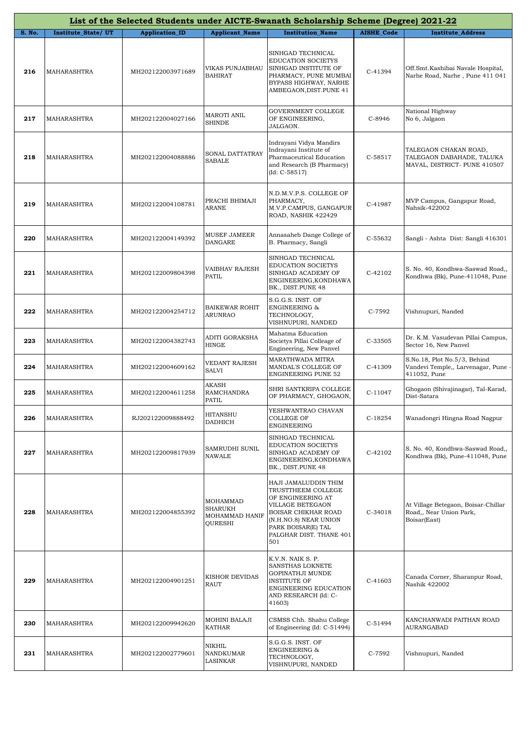|        | List of the Selected Students under AICTE-Swanath Scholarship Scheme (Degree) 2021-22 |                       |                                                  |                                                                                                                                                                                             |                   |                                                                                     |  |  |
|--------|---------------------------------------------------------------------------------------|-----------------------|--------------------------------------------------|---------------------------------------------------------------------------------------------------------------------------------------------------------------------------------------------|-------------------|-------------------------------------------------------------------------------------|--|--|
| S. No. | Institute_State/UT                                                                    | <b>Application_ID</b> | <b>Applicant_Name</b>                            | <b>Institution_Name</b>                                                                                                                                                                     | <b>AISHE_Code</b> | <b>Institute_Address</b>                                                            |  |  |
| 216    | MAHARASHTRA                                                                           | MH202122003971689     | VIKAS PUNJABHAU<br><b>BAHIRAT</b>                | SINHGAD TECHNICAL<br><b>EDUCATION SOCIETYS</b><br>SINHGAD INSTITUTE OF<br>PHARMACY, PUNE MUMBAI<br>BYPASS HIGHWAY, NARHE<br>AMBEGAON, DIST. PUNE 41                                         | C-41394           | Off.Smt.Kashibai Navale Hospital,<br>Narhe Road, Narhe, Pune 411 041                |  |  |
| 217    | MAHARASHTRA                                                                           | MH202122004027166     | MAROTI ANIL<br><b>SHINDE</b>                     | GOVERNMENT COLLEGE<br>OF ENGINEERING,<br>JALGAON.                                                                                                                                           | C-8946            | National Highway<br>No 6, Jalgaon                                                   |  |  |
| 218    | MAHARASHTRA                                                                           | MH202122004088886     | SONAL DATTATRAY<br>SABALE                        | Indrayani Vidya Mandirs<br>Indrayani Institute of<br>Pharmaceutical Education<br>and Research (B Pharmacy)<br>$(Id: C-58517)$                                                               | $C-58517$         | TALEGAON CHAKAN ROAD,<br>TALEGAON DABAHADE, TALUKA<br>MAVAL, DISTRICT- PUNE 410507  |  |  |
| 219    | MAHARASHTRA                                                                           | MH202122004108781     | PRACHI BHIMAJI<br>ARANE                          | N.D.M.V.P.S. COLLEGE OF<br>PHARMACY,<br>M.V.P.CAMPUS, GANGAPUR<br>ROAD, NASHIK 422429                                                                                                       | C-41987           | MVP Campus, Gangapur Road,<br>Nahsik-422002                                         |  |  |
| 220    | MAHARASHTRA                                                                           | MH202122004149392     | MUSEF JAMEER<br>DANGARE                          | Annasaheb Dange College of<br>B. Pharmacy, Sangli                                                                                                                                           | C-55632           | Sangli - Ashta Dist: Sangli 416301                                                  |  |  |
| 221    | MAHARASHTRA                                                                           | MH202122009804398     | VAIBHAV RAJESH<br>PATIL                          | SINHGAD TECHNICAL<br><b>EDUCATION SOCIETYS</b><br>SINHGAD ACADEMY OF<br>ENGINEERING, KONDHAWA<br>BK., DIST.PUNE 48                                                                          | C-42102           | S. No. 40, Kondhwa-Saswad Road,,<br>Kondhwa (Bk), Pune-411048, Pune                 |  |  |
| 222    | MAHARASHTRA                                                                           | MH202122004254712     | <b>BAIKEWAR ROHIT</b><br><b>ARUNRAO</b>          | S.G.G.S. INST. OF<br><b>ENGINEERING &amp;</b><br>TECHNOLOGY,<br>VISHNUPURI, NANDED                                                                                                          | C-7592            | Vishnupuri, Nanded                                                                  |  |  |
| 223    | MAHARASHTRA                                                                           | MH202122004382743     | ADITI GORAKSHA<br>HINGE                          | Mahatma Education<br>Societys Pillai Colleage of<br>Engineering, New Panvel                                                                                                                 | C-33505           | Dr. K.M. Vasudevan Pillai Campus,<br>Sector 16, New Panvel                          |  |  |
| 224    | MAHARASHTRA                                                                           | MH202122004609162     | VEDANT RAJESH<br><b>SALVI</b>                    | MARATHWADA MITRA<br>MANDAL'S COLLEGE OF<br><b>ENGINEERING PUNE 52</b>                                                                                                                       | C-41309           | S.No.18, Plot No.5/3, Behind<br>Vandevi Temple,, Larvenagar, Pune -<br>411052, Pune |  |  |
| 225    | MAHARASHTRA                                                                           | MH202122004611258     | <b>AKASH</b><br><b>RAMCHANDRA</b><br>PATIL       | SHRI SANTKRIPA COLLEGE<br>OF PHARMACY, GHOGAON,                                                                                                                                             | $C-11047$         | Ghogaon (Shivajinagar), Tal-Karad,<br>Dist-Satara                                   |  |  |
| 226    | MAHARASHTRA                                                                           | RJ202122009888492     | HITANSHU<br><b>DADHICH</b>                       | YESHWANTRAO CHAVAN<br>COLLEGE OF<br>ENGINEERING                                                                                                                                             | $C-18254$         | Wanadongri Hingna Road Nagpur                                                       |  |  |
| 227    | MAHARASHTRA                                                                           | MH202122009817939     | SAMRUDHI SUNIL<br><b>NAWALE</b>                  | SINHGAD TECHNICAL<br>EDUCATION SOCIETYS<br>SINHGAD ACADEMY OF<br>ENGINEERING, KONDHAWA<br>BK., DIST.PUNE 48                                                                                 | $C-42102$         | S. No. 40, Kondhwa-Saswad Road.,<br>Kondhwa (Bk), Pune-411048, Pune                 |  |  |
| 228    | MAHARASHTRA                                                                           | MH202122004855392     | MOHAMMAD<br>SHARUKH<br>MOHAMMAD HANIF<br>OURESHI | HAJI JAMALUDDIN THIM<br>TRUSTTHEEM COLLEGE<br>OF ENGINEERING AT<br>VILLAGE BETEGAON<br>BOISAR CHIKHAR ROAD<br>(N.H.NO.8) NEAR UNION<br>PARK BOISAR(E) TAL<br>PALGHAR DIST. THANE 401<br>501 | C-34018           | At Village Betegaon, Boisar-Chillar<br>Road., Near Union Park,<br>Boisar(East)      |  |  |
| 229    | MAHARASHTRA                                                                           | MH202122004901251     | <b>KISHOR DEVIDAS</b><br><b>RAUT</b>             | K.V.N. NAIK S. P.<br>SANSTHAS LOKNETE<br>GOPINATHJI MUNDE<br><b>INSTITUTE OF</b><br>ENGINEERING EDUCATION<br>AND RESEARCH (Id: C-<br>41603)                                                 | $C-41603$         | Canada Corner, Sharanpur Road,<br>Nashik 422002                                     |  |  |
| 230    | MAHARASHTRA                                                                           | MH202122009942620     | MOHINI BALAJI<br>KATHAR                          | CSMSS Chh. Shahu College<br>of Engineering (Id: C-51494)                                                                                                                                    | $C-51494$         | KANCHANWADI PAITHAN ROAD<br>AURANGABAD                                              |  |  |
| 231    | MAHARASHTRA                                                                           | MH202122002779601     | NIKHIL<br>NANDKUMAR<br>LASINKAR                  | S.G.G.S. INST. OF<br><b>ENGINEERING &amp;</b><br>TECHNOLOGY,<br>VISHNUPURI, NANDED                                                                                                          | C-7592            | Vishnupuri, Nanded                                                                  |  |  |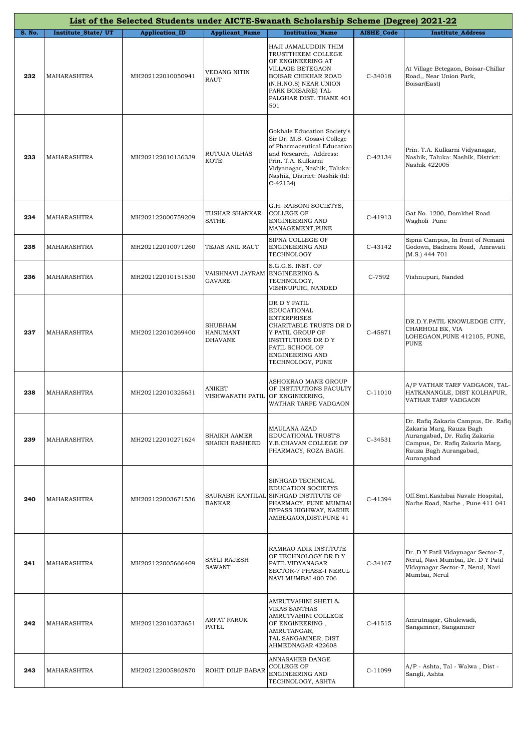|               | List of the Selected Students under AICTE-Swanath Scholarship Scheme (Degree) 2021-22 |                       |                                                     |                                                                                                                                                                                                                         |                   |                                                                                                                                                                             |  |
|---------------|---------------------------------------------------------------------------------------|-----------------------|-----------------------------------------------------|-------------------------------------------------------------------------------------------------------------------------------------------------------------------------------------------------------------------------|-------------------|-----------------------------------------------------------------------------------------------------------------------------------------------------------------------------|--|
| <b>S. No.</b> | Institute_State/UT                                                                    | <b>Application_ID</b> | <b>Applicant Name</b>                               | <b>Institution Name</b>                                                                                                                                                                                                 | <b>AISHE Code</b> | <b>Institute Address</b>                                                                                                                                                    |  |
| 232           | MAHARASHTRA                                                                           | MH202122010050941     | VEDANG NITIN<br><b>RAUT</b>                         | HAJI JAMALUDDIN THIM<br>TRUSTTHEEM COLLEGE<br>OF ENGINEERING AT<br>VILLAGE BETEGAON<br><b>BOISAR CHIKHAR ROAD</b><br>(N.H.NO.8) NEAR UNION<br>PARK BOISAR(E) TAL<br>PALGHAR DIST. THANE 401<br>501                      | C-34018           | At Village Betegaon, Boisar-Chillar<br>Road,, Near Union Park,<br>Boisar(East)                                                                                              |  |
| 233           | MAHARASHTRA                                                                           | MH202122010136339     | RUTUJA ULHAS<br>KOTE                                | Gokhale Education Society's<br>Sir Dr. M.S. Gosavi College<br>of Pharmaceutical Education<br>and Research, Address:<br>Prin. T.A. Kulkarni<br>Vidyanagar, Nashik, Taluka:<br>Nashik, District: Nashik (Id:<br>$C-42134$ | $C-42134$         | Prin. T.A. Kulkarni Vidyanagar,<br>Nashik, Taluka: Nashik, District:<br>Nashik 422005                                                                                       |  |
| 234           | MAHARASHTRA                                                                           | MH202122000759209     | TUSHAR SHANKAR<br>SATHE                             | G.H. RAISONI SOCIETYS,<br><b>COLLEGE OF</b><br>ENGINEERING AND<br>MANAGEMENT, PUNE                                                                                                                                      | C-41913           | Gat No. 1200, Domkhel Road<br>Wagholi Pune                                                                                                                                  |  |
| 235           | MAHARASHTRA                                                                           | MH202122010071260     | TEJAS ANIL RAUT                                     | SIPNA COLLEGE OF<br>ENGINEERING AND<br>TECHNOLOGY                                                                                                                                                                       | C-43142           | Sipna Campus, In front of Nemani<br>Godown, Badnera Road, Amravati<br>(M.S.) 444 701                                                                                        |  |
| 236           | MAHARASHTRA                                                                           | MH202122010151530     | VAISHNAVI JAYRAM ENGINEERING &<br><b>GAVARE</b>     | S.G.G.S. INST. OF<br>TECHNOLOGY,<br>VISHNUPURI, NANDED                                                                                                                                                                  | C-7592            | Vishnupuri, Nanded                                                                                                                                                          |  |
| 237           | MAHARASHTRA                                                                           | MH202122010269400     | <b>SHUBHAM</b><br><b>HANUMANT</b><br><b>DHAVANE</b> | DR D Y PATIL<br>EDUCATIONAL<br><b>ENTERPRISES</b><br>CHARITABLE TRUSTS DR D<br>Y PATIL GROUP OF<br>INSTITUTIONS DR D Y<br>PATIL SCHOOL OF<br><b>ENGINEERING AND</b><br>TECHNOLOGY, PUNE                                 | C-45871           | DR.D.Y.PATIL KNOWLEDGE CITY,<br>CHARHOLI BK, VIA<br>LOHEGAON, PUNE 412105, PUNE,<br><b>PUNE</b>                                                                             |  |
| 238           | MAHARASHTRA                                                                           | MH202122010325631     | ANIKET<br>VISHWANATH PATIL                          | ASHOKRAO MANE GROUP<br>OF INSTITUTIONS FACULTY<br>OF ENGINEERING,<br>WATHAR TARFE VADGAON                                                                                                                               | $C-11010$         | A/P VATHAR TARF VADGAON, TAL-<br>HATKANANGLE, DIST KOLHAPUR,<br>VATHAR TARF VADGAON                                                                                         |  |
| 239           | MAHARASHTRA                                                                           | MH202122010271624     | SHAIKH AAMER<br>SHAIKH RASHEED                      | MAULANA AZAD<br>EDUCATIONAL TRUST'S<br>Y.B.CHAVAN COLLEGE OF<br>PHARMACY, ROZA BAGH.                                                                                                                                    | C-34531           | Dr. Rafiq Zakaria Campus, Dr. Rafiq<br>Zakaria Marg, Rauza Bagh<br>Aurangabad, Dr. Rafiq Zakaria<br>Campus, Dr. Rafiq Zakaria Marg,<br>Rauza Bagh Aurangabad,<br>Aurangabad |  |
| 240           | <b>MAHARASHTRA</b>                                                                    | MH202122003671536     | <b>BANKAR</b>                                       | SINHGAD TECHNICAL<br><b>EDUCATION SOCIETYS</b><br>SAURABH KANTILAL SINHGAD INSTITUTE OF<br>PHARMACY, PUNE MUMBAI<br>BYPASS HIGHWAY, NARHE<br>AMBEGAON, DIST. PUNE 41                                                    | C-41394           | Off.Smt.Kashibai Navale Hospital,<br>Narhe Road, Narhe, Pune 411 041                                                                                                        |  |
| 241           | MAHARASHTRA                                                                           | MH202122005666409     | SAYLI RAJESH<br><b>SAWANT</b>                       | RAMRAO ADIK INSTITUTE<br>OF TECHNOLOGY DR D Y<br>PATIL VIDYANAGAR<br>SECTOR-7 PHASE-I NERUL<br>NAVI MUMBAI 400 706                                                                                                      | C-34167           | Dr. D Y Patil Vidaynagar Sector-7,<br>Nerul, Navi Mumbai, Dr. D Y Patil<br>Vidaynagar Sector-7, Nerul, Navi<br>Mumbai, Nerul                                                |  |
| 242           | <b>MAHARASHTRA</b>                                                                    | MH202122010373651     | ARFAT FARUK<br><b>PATEL</b>                         | AMRUTVAHINI SHETI &<br>VIKAS SANTHAS<br>AMRUTVAHINI COLLEGE<br>OF ENGINEERING,<br>AMRUTANGAR,<br>TAL.SANGAMNER, DIST.<br>AHMEDNAGAR 422608                                                                              | $C-41515$         | Amrutnagar, Ghulewadi,<br>Sangamner, Sangamner                                                                                                                              |  |
| 243           | MAHARASHTRA                                                                           | MH202122005862870     | ROHIT DILIP BABAR                                   | ANNASAHEB DANGE<br><b>COLLEGE OF</b><br>ENGINEERING AND<br>TECHNOLOGY, ASHTA                                                                                                                                            | C-11099           | A/P - Ashta, Tal - Walwa, Dist -<br>Sangli, Ashta                                                                                                                           |  |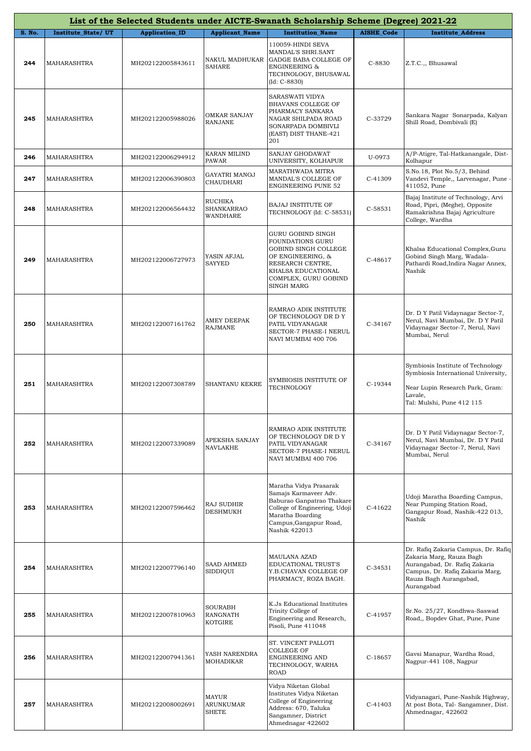|               |                           |                       |                                                     | List of the Selected Students under AICTE-Swanath Scholarship Scheme (Degree) 2021-22                                                                                        |                   |                                                                                                                                                                             |
|---------------|---------------------------|-----------------------|-----------------------------------------------------|------------------------------------------------------------------------------------------------------------------------------------------------------------------------------|-------------------|-----------------------------------------------------------------------------------------------------------------------------------------------------------------------------|
| <b>S. No.</b> | <b>Institute State/UT</b> | <b>Application_ID</b> | <b>Applicant_Name</b>                               | <b>Institution_Name</b>                                                                                                                                                      | <b>AISHE_Code</b> | <b>Institute_Address</b>                                                                                                                                                    |
| 244           | MAHARASHTRA               | MH202122005843611     | NAKUL MADHUKAR<br><b>SAHARE</b>                     | 110059-HINDI SEVA<br>MANDAL'S SHRI.SANT<br>GADGE BABA COLLEGE OF<br><b>ENGINEERING &amp;</b><br>TECHNOLOGY, BHUSAWAL<br>$(Id: C-8830)$                                       | C-8830            | Z.T.C.,, Bhusawal                                                                                                                                                           |
| 245           | MAHARASHTRA               | MH202122005988026     | <b>OMKAR SANJAY</b><br><b>RANJANE</b>               | SARASWATI VIDYA<br>BHAVANS COLLEGE OF<br>PHARMACY SANKARA<br>NAGAR SHILPADA ROAD<br>SONARPADA DOMBIVLI<br>(EAST) DIST THANE-421<br>201                                       | C-33729           | Sankara Nagar Sonarpada, Kalyan<br>Shill Road, Dombivali (E)                                                                                                                |
| 246           | MAHARASHTRA               | MH202122006294912     | KARAN MILIND<br>PAWAR                               | SANJAY GHODAWAT<br>UNIVERSITY, KOLHAPUR                                                                                                                                      | U-0973            | A/P-Atigre, Tal-Hatkanangale, Dist-<br>Kolhapur                                                                                                                             |
| 247           | MAHARASHTRA               | MH202122006390803     | GAYATRI MANOJ<br>CHAUDHARI                          | MARATHWADA MITRA<br>MANDAL'S COLLEGE OF<br><b>ENGINEERING PUNE 52</b>                                                                                                        | C-41309           | S.No.18, Plot No.5/3, Behind<br>Vandevi Temple,, Larvenagar, Pune -<br>411052, Pune                                                                                         |
| 248           | MAHARASHTRA               | MH202122006564432     | <b>RUCHIKA</b><br><b>SHANKARRAO</b><br>WANDHARE     | <b>BAJAJ INSTITUTE OF</b><br>TECHNOLOGY (Id: C-58531)                                                                                                                        | C-58531           | Bajaj Institute of Technology, Arvi<br>Road, Pipri, (Meghe), Opposite<br>Ramakrishna Bajaj Agriculture<br>College, Wardha                                                   |
| 249           | MAHARASHTRA               | MH202122006727973     | YASIN AFJAL<br>SAYYED                               | <b>GURU GOBIND SINGH</b><br>FOUNDATIONS GURU<br>GOBIND SINGH COLLEGE<br>OF ENGINEERING, &<br>RESEARCH CENTRE,<br>KHALSA EDUCATIONAL<br>COMPLEX, GURU GOBIND<br>SINGH MARG    | C-48617           | Khalsa Educational Complex, Guru<br>Gobind Singh Marg, Wadala-<br>Pathardi Road, Indira Nagar Annex,<br>Nashik                                                              |
| 250           | MAHARASHTRA               | MH202122007161762     | AMEY DEEPAK<br><b>RAJMANE</b>                       | RAMRAO ADIK INSTITUTE<br>OF TECHNOLOGY DR D Y<br>PATIL VIDYANAGAR<br>SECTOR-7 PHASE-I NERUL<br>NAVI MUMBAI 400 706                                                           | $C-34167$         | Dr. D Y Patil Vidaynagar Sector-7,<br>Nerul, Navi Mumbai, Dr. D Y Patil<br>Vidaynagar Sector-7, Nerul, Navi<br>Mumbai, Nerul                                                |
| 251           | <b>MAHARASHTRA</b>        | MH202122007308789     | SHANTANU KEKRE                                      | SYMBIOSIS INSTITUTE OF<br>TECHNOLOGY                                                                                                                                         | C-19344           | Symbiosis Institute of Technology<br>Symbiosis International University,<br>Near Lupin Research Park, Gram:<br>Lavale,<br>Tal: Mulshi, Pune 412 115                         |
| 252           | <b>MAHARASHTRA</b>        | MH202122007339089     | APEKSHA SANJAY<br><b>NAVLAKHE</b>                   | RAMRAO ADIK INSTITUTE<br>OF TECHNOLOGY DR D Y<br>PATIL VIDYANAGAR<br>SECTOR-7 PHASE-I NERUL<br>NAVI MUMBAI 400 706                                                           | C-34167           | Dr. D Y Patil Vidaynagar Sector-7,<br>Nerul, Navi Mumbai, Dr. D Y Patil<br>Vidaynagar Sector-7, Nerul, Navi<br>Mumbai, Nerul                                                |
| 253           | <b>MAHARASHTRA</b>        | MH202122007596462     | <b>RAJ SUDHIR</b><br><b>DESHMUKH</b>                | Maratha Vidya Prasarak<br>Samajs Karmaveer Adv.<br>Baburao Ganpatrao Thakare<br>College of Engineering, Udoji<br>Maratha Boarding<br>Campus, Gangapur Road,<br>Nashik 422013 | C-41622           | Udoji Maratha Boarding Campus,<br>Near Pumping Station Road,<br>Gangapur Road, Nashik-422 013,<br>Nashik                                                                    |
| 254           | MAHARASHTRA               | MH202122007796140     | <b>SAAD AHMED</b><br>SIDDIQUI                       | <b>MAULANA AZAD</b><br><b>EDUCATIONAL TRUST'S</b><br>Y.B.CHAVAN COLLEGE OF<br>PHARMACY, ROZA BAGH.                                                                           | $C-34531$         | Dr. Rafiq Zakaria Campus, Dr. Rafiq<br>Zakaria Marg, Rauza Bagh<br>Aurangabad, Dr. Rafiq Zakaria<br>Campus, Dr. Rafiq Zakaria Marg,<br>Rauza Bagh Aurangabad,<br>Aurangabad |
| 255           | <b>MAHARASHTRA</b>        | MH202122007810963     | <b>SOURABH</b><br><b>RANGNATH</b><br><b>KOTGIRE</b> | K.Js Educational Institutes<br>Trinity College of<br>Engineering and Research,<br>Pisoli, Pune 411048                                                                        | C-41957           | Sr.No. 25/27, Kondhwa-Saswad<br>Road,, Bopdev Ghat, Pune, Pune                                                                                                              |
| 256           | MAHARASHTRA               | MH202122007941361     | YASH NARENDRA<br><b>MOHADIKAR</b>                   | ST. VINCENT PALLOTI<br><b>COLLEGE OF</b><br><b>ENGINEERING AND</b><br>TECHNOLOGY, WARHA<br><b>ROAD</b>                                                                       | $C-18657$         | Gavsi Manapur, Wardha Road,<br>Nagpur-441 108, Nagpur                                                                                                                       |
| 257           | MAHARASHTRA               | MH202122008002691     | MAYUR<br>ARUNKUMAR<br><b>SHETE</b>                  | Vidya Niketan Global<br>Institutes Vidya Niketan<br>College of Engineering<br>Address: 670, Taluka<br>Sangamner, District<br>Ahmednagar 422602                               | $C-41403$         | Vidyanagari, Pune-Nashik Highway,<br>At post Bota, Tal- Sangamner, Dist.<br>Ahmednagar, 422602                                                                              |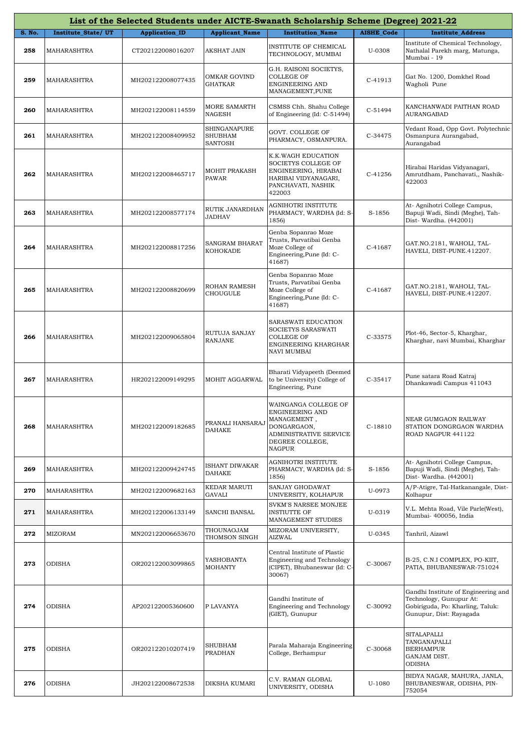|        |                    |                       |                                           | List of the Selected Students under AICTE-Swanath Scholarship Scheme (Degree) 2021-22                                        |                   |                                                                                                                               |
|--------|--------------------|-----------------------|-------------------------------------------|------------------------------------------------------------------------------------------------------------------------------|-------------------|-------------------------------------------------------------------------------------------------------------------------------|
| S. No. | Institute_State/UT | <b>Application_ID</b> | <b>Applicant_Name</b>                     | <b>Institution_Name</b>                                                                                                      | <b>AISHE_Code</b> | <b>Institute_Address</b>                                                                                                      |
| 258    | MAHARASHTRA        | CT202122008016207     | AKSHAT JAIN                               | INSTITUTE OF CHEMICAL<br>TECHNOLOGY, MUMBAI                                                                                  | U-0308            | Institute of Chemical Technology,<br>Nathalal Parekh marg, Matunga,<br>Mumbai - 19                                            |
| 259    | MAHARASHTRA        | MH202122008077435     | OMKAR GOVIND<br><b>GHATKAR</b>            | G.H. RAISONI SOCIETYS,<br><b>COLLEGE OF</b><br>ENGINEERING AND<br>MANAGEMENT, PUNE                                           | C-41913           | Gat No. 1200, Domkhel Road<br>Wagholi Pune                                                                                    |
| 260    | MAHARASHTRA        | MH202122008114559     | MORE SAMARTH<br>NAGESH                    | CSMSS Chh. Shahu College<br>of Engineering (Id: C-51494)                                                                     | $C-51494$         | KANCHANWADI PAITHAN ROAD<br>AURANGABAD                                                                                        |
| 261    | MAHARASHTRA        | MH202122008409952     | SHINGANAPURE<br><b>SHUBHAM</b><br>SANTOSH | GOVT. COLLEGE OF<br>PHARMACY, OSMANPURA.                                                                                     | C-34475           | Vedant Road, Opp Govt. Polytechnic<br>Osmanpura Aurangabad,<br>Aurangabad                                                     |
| 262    | MAHARASHTRA        | MH202122008465717     | <b>MOHIT PRAKASH</b><br>PAWAR             | K.K.WAGH EDUCATION<br>SOCIETYS COLLEGE OF<br>ENGINEERING, HIRABAI<br>HARIBAI VIDYANAGARI,<br>PANCHAVATI, NASHIK<br>422003    | C-41256           | Hirabai Haridas Vidyanagari,<br>Amrutdham, Panchavati,, Nashik-<br>422003                                                     |
| 263    | MAHARASHTRA        | MH202122008577174     | RUTIK JANARDHAN<br><b>JADHAV</b>          | AGNIHOTRI INSTITUTE<br>PHARMACY, WARDHA (Id: S-<br>1856)                                                                     | S-1856            | At- Agnihotri College Campus,<br>Bapuji Wadi, Sindi (Meghe), Tah-<br>Dist- Wardha. (442001)                                   |
| 264    | MAHARASHTRA        | MH202122008817256     | SANGRAM BHARAT<br>KOHOKADE                | Genba Sopanrao Moze<br>Trusts, Parvatibai Genba<br>Moze College of<br>Engineering, Pune (Id: C-<br>41687)                    | C-41687           | GAT.NO.2181, WAHOLI, TAL-<br>HAVELI, DIST-PUNE.412207.                                                                        |
| 265    | MAHARASHTRA        | MH202122008820699     | ROHAN RAMESH<br>CHOUGULE                  | Genba Sopanrao Moze<br>Trusts, Parvatibai Genba<br>Moze College of<br>Engineering, Pune (Id: C-<br>41687)                    | C-41687           | GAT.NO.2181, WAHOLI, TAL-<br>HAVELI, DIST-PUNE.412207.                                                                        |
| 266    | MAHARASHTRA        | MH202122009065804     | RUTUJA SANJAY<br><b>RANJANE</b>           | SARASWATI EDUCATION<br>SOCIETYS SARASWATI<br><b>COLLEGE OF</b><br>ENGINEERING KHARGHAR<br><b>NAVI MUMBAI</b>                 | C-33575           | Plot-46, Sector-5, Kharghar,<br>Kharghar, navi Mumbai, Kharghar                                                               |
| 267    | MAHARASHTRA        | HR202122009149295     | MOHIT AGGARWAL                            | Bharati Vidyapeeth (Deemed<br>to be University) College of<br>Engineering, Pune                                              | $C-35417$         | Pune satara Road Katraj<br>Dhankawadi Campus 411043                                                                           |
| 268    | MAHARASHTRA        | MH202122009182685     | PRANALI HANSARAJ<br>DAHAKE                | WAINGANGA COLLEGE OF<br>ENGINEERING AND<br>MANAGEMENT,<br>DONGARGAON,<br>ADMINISTRATIVE SERVICE<br>DEGREE COLLEGE,<br>NAGPUR | $C-18810$         | NEAR GUMGAON RAILWAY<br>STATION DONGRGAON WARDHA<br>ROAD NAGPUR 441122                                                        |
| 269    | MAHARASHTRA        | MH202122009424745     | ISHANT DIWAKAR<br><b>DAHAKE</b>           | AGNIHOTRI INSTITUTE<br>PHARMACY, WARDHA (Id: S-<br>1856)                                                                     | S-1856            | At- Agnihotri College Campus,<br>Bapuji Wadi, Sindi (Meghe), Tah-<br>Dist- Wardha. (442001)                                   |
| 270    | MAHARASHTRA        | MH202122009682163     | KEDAR MARUTI<br>GAVALI                    | SANJAY GHODAWAT<br>UNIVERSITY, KOLHAPUR                                                                                      | U-0973            | A/P-Atigre, Tal-Hatkanangale, Dist-<br>Kolhapur                                                                               |
| 271    | MAHARASHTRA        | MH202122006133149     | SANCHI BANSAL                             | SVKM'S NARSEE MONJEE<br><b>INSTIUTTE OF</b><br>MANAGEMENT STUDIES                                                            | U-0319            | V.L. Mehta Road, Vile Parle(West),<br>Mumbai- 400056, India                                                                   |
| 272    | <b>MIZORAM</b>     | MN202122006653670     | THOUNAOJAM<br>THOMSON SINGH               | MIZORAM UNIVERSITY,<br><b>AIZWAL</b>                                                                                         | U-0345            | Tanhril, Aizawl                                                                                                               |
| 273    | ODISHA             | OR202122003099865     | YASHOBANTA<br><b>MOHANTY</b>              | Central Institute of Plastic<br>Engineering and Technology<br>(CIPET), Bhubaneswar (Id: C-<br>30067)                         | C-30067           | B-25, C.N.I COMPLEX, PO-KIIT,<br>PATIA, BHUBANESWAR-751024                                                                    |
| 274    | ODISHA             | AP202122005360600     | P LAVANYA                                 | Gandhi Institute of<br><b>Engineering and Technology</b><br>(GIET), Gunupur                                                  | C-30092           | Gandhi Institute of Engineering and<br>Technology, Gunupur At:<br>Gobiriguda, Po: Kharling, Taluk:<br>Gunupur, Dist: Rayagada |
| 275    | ODISHA             | OR202122010207419     | SHUBHAM<br>PRADHAN                        | Parala Maharaja Engineering<br>College, Berhampur                                                                            | C-30068           | SITALAPALLI<br>TANGANAPALLI<br><b>BERHAMPUR</b><br>GANJAM DIST.<br>ODISHA                                                     |
| 276    | ODISHA             | JH202122008672538     | DIKSHA KUMARI                             | C.V. RAMAN GLOBAL<br>UNIVERSITY, ODISHA                                                                                      | U-1080            | BIDYA NAGAR, MAHURA, JANLA,<br>BHUBANESWAR, ODISHA, PIN-<br>752054                                                            |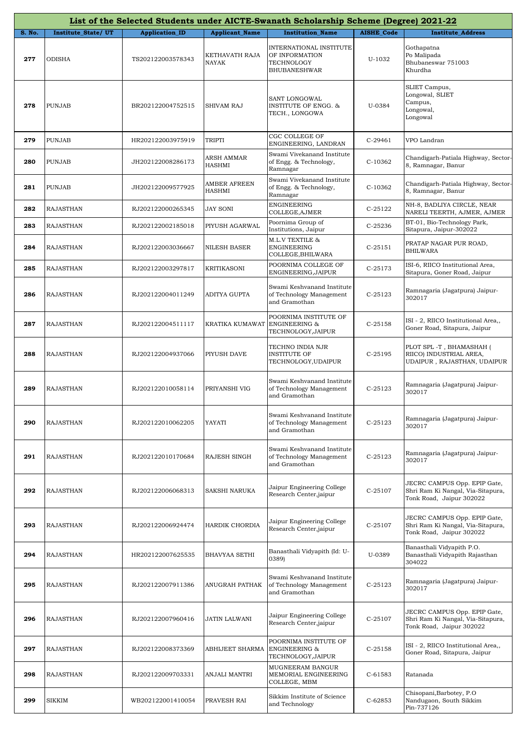|        |                           |                       |                         | List of the Selected Students under AICTE-Swanath Scholarship Scheme (Degree) 2021-22 |                   |                                                                                               |
|--------|---------------------------|-----------------------|-------------------------|---------------------------------------------------------------------------------------|-------------------|-----------------------------------------------------------------------------------------------|
| S. No. | <b>Institute State/UT</b> | <b>Application_ID</b> | <b>Applicant_Name</b>   | <b>Institution Name</b>                                                               | <b>AISHE Code</b> | <b>Institute Address</b>                                                                      |
| 277    | ODISHA                    | TS202122003578343     | KETHAVATH RAJA<br>NAYAK | INTERNATIONAL INSTITUTE<br>OF INFORMATION<br>TECHNOLOGY<br><b>BHUBANESHWAR</b>        | U-1032            | Gothapatna<br>Po Malipada<br>Bhubaneswar 751003<br>Khurdha                                    |
| 278    | <b>PUNJAB</b>             | BR202122004752515     | SHIVAM RAJ              | SANT LONGOWAL<br><b>INSTITUTE OF ENGG. &amp;</b><br>TECH., LONGOWA                    | U-0384            | SLIET Campus,<br>Longowal, SLIET<br>Campus,<br>Longowal,<br>Longowal                          |
| 279    | <b>PUNJAB</b>             | HR202122003975919     | TRIPTI                  | CGC COLLEGE OF<br>ENGINEERING, LANDRAN                                                | $C-29461$         | VPO Landran                                                                                   |
| 280    | PUNJAB                    | JH202122008286173     | ARSH AMMAR<br>HASHMI    | Swami Vivekanand Institute<br>of Engg. & Technology,<br>Ramnagar                      | C-10362           | Chandigarh-Patiala Highway, Sector-<br>8, Ramnagar, Banur                                     |
| 281    | <b>PUNJAB</b>             | JH202122009577925     | AMBER AFREEN<br>HASHMI  | Swami Vivekanand Institute<br>of Engg. & Technology,<br>Ramnagar                      | C-10362           | Chandigarh-Patiala Highway, Sector-<br>8, Ramnagar, Banur                                     |
| 282    | <b>RAJASTHAN</b>          | RJ202122000265345     | <b>JAY SONI</b>         | ENGINEERING<br>COLLEGE, AJMER                                                         | C-25122           | NH-8, BADLIYA CIRCLE, NEAR<br>NARELI TEERTH, AJMER, AJMER                                     |
| 283    | RAJASTHAN                 | RJ202122002185018     | PIYUSH AGARWAL          | Poornima Group of<br>Institutions, Jaipur                                             | C-25236           | BT-01, Bio-Technology Park,<br>Sitapura, Jaipur-302022                                        |
| 284    | RAJASTHAN                 | RJ202122003036667     | NILESH BASER            | M.L.V TEXTILE &<br>ENGINEERING<br>COLLEGE,BHILWARA                                    | C-25151           | PRATAP NAGAR PUR ROAD,<br><b>BHILWARA</b>                                                     |
| 285    | RAJASTHAN                 | RJ202122003297817     | KRITIKASONI             | POORNIMA COLLEGE OF<br>ENGINEERING, JAIPUR                                            | C-25173           | ISI-6, RIICO Institutional Area,<br>Sitapura, Goner Road, Jaipur                              |
| 286    | <b>RAJASTHAN</b>          | RJ202122004011249     | ADITYA GUPTA            | Swami Keshvanand Institute<br>of Technology Management<br>and Gramothan               | $C-25123$         | Ramnagaria (Jagatpura) Jaipur-<br>302017                                                      |
| 287    | <b>RAJASTHAN</b>          | RJ202122004511117     | KRATIKA KUMAWAT         | POORNIMA INSTITUTE OF<br><b>ENGINEERING &amp;</b><br>TECHNOLOGY,JAIPUR                | $C-25158$         | ISI - 2, RIICO Institutional Area,,<br>Goner Road, Sitapura, Jaipur                           |
| 288    | RAJASTHAN                 | RJ202122004937066     | PIYUSH DAVE             | TECHNO INDIA NJR<br><b>INSTITUTE OF</b><br>TECHNOLOGY, UDAIPUR                        | $C-25195$         | PLOT SPL -T, BHAMASHAH (<br>RIICO) INDUSTRIAL AREA,<br>UDAIPUR , RAJASTHAN, UDAIPUR           |
| 289    | <b>RAJASTHAN</b>          | RJ202122010058114     | PRIYANSHI VIG           | Swami Keshvanand Institute<br>of Technology Management<br>and Gramothan               | $C-25123$         | Ramnagaria (Jagatpura) Jaipur-<br>302017                                                      |
| 290    | <b>RAJASTHAN</b>          | RJ202122010062205     | YAYATI                  | Swami Keshvanand Institute<br>of Technology Management<br>and Gramothan               | C-25123           | Ramnagaria (Jagatpura) Jaipur-<br>302017                                                      |
| 291    | RAJASTHAN                 | RJ202122010170684     | RAJESH SINGH            | Swami Keshvanand Institute<br>of Technology Management<br>and Gramothan               | $C-25123$         | Ramnagaria (Jagatpura) Jaipur-<br>302017                                                      |
| 292    | <b>RAJASTHAN</b>          | RJ202122006068313     | SAKSHI NARUKA           | Jaipur Engineering College<br>Research Center, jaipur                                 | $C-25107$         | JECRC CAMPUS Opp. EPIP Gate,<br>Shri Ram Ki Nangal, Via-Sitapura,<br>Tonk Road, Jaipur 302022 |
| 293    | <b>RAJASTHAN</b>          | RJ202122006924474     | HARDIK CHORDIA          | Jaipur Engineering College<br>Research Center, jaipur                                 | $C-25107$         | JECRC CAMPUS Opp. EPIP Gate,<br>Shri Ram Ki Nangal, Via-Sitapura,<br>Tonk Road, Jaipur 302022 |
| 294    | <b>RAJASTHAN</b>          | HR202122007625535     | BHAVYAA SETHI           | Banasthali Vidyapith (Id: U-<br>0389)                                                 | U-0389            | Banasthali Vidyapith P.O.<br>Banasthali Vidyapith Rajasthan<br>304022                         |
| 295    | RAJASTHAN                 | RJ202122007911386     | ANUGRAH PATHAK          | Swami Keshvanand Institute<br>of Technology Management<br>and Gramothan               | $C-25123$         | Ramnagaria (Jagatpura) Jaipur-<br>302017                                                      |
| 296    | <b>RAJASTHAN</b>          | RJ202122007960416     | JATIN LALWANI           | Jaipur Engineering College<br>Research Center, jaipur                                 | $C-25107$         | JECRC CAMPUS Opp. EPIP Gate,<br>Shri Ram Ki Nangal, Via-Sitapura,<br>Tonk Road, Jaipur 302022 |
| 297    | RAJASTHAN                 | RJ202122008373369     | ABHIJEET SHARMA         | POORNIMA INSTITUTE OF<br><b>ENGINEERING &amp;</b><br>TECHNOLOGY,JAIPUR                | $C-25158$         | ISI - 2, RIICO Institutional Area,,<br>Goner Road, Sitapura, Jaipur                           |
| 298    | <b>RAJASTHAN</b>          | RJ202122009703331     | ANJALI MANTRI           | MUGNEERAM BANGUR<br>MEMORIAL ENGINEERING<br>COLLEGE, MBM                              | $C-61583$         | Ratanada                                                                                      |
| 299    | SIKKIM                    | WB202122001410054     | PRAVESH RAI             | Sikkim Institute of Science<br>and Technology                                         | $C-62853$         | Chisopani, Barbotey, P.O.<br>Nandugaon, South Sikkim<br>Pin-737126                            |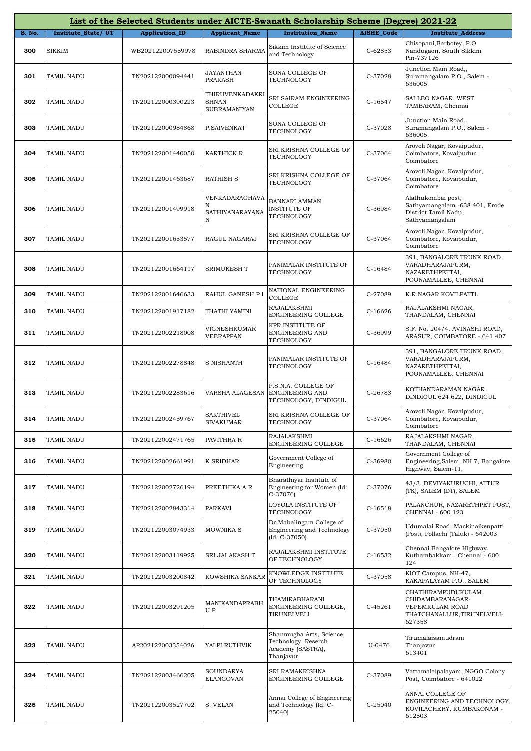|        |                    |                       |                                                 | List of the Selected Students under AICTE-Swanath Scholarship Scheme (Degree) 2021-22 |                   |                                                                                                    |
|--------|--------------------|-----------------------|-------------------------------------------------|---------------------------------------------------------------------------------------|-------------------|----------------------------------------------------------------------------------------------------|
| S. No. | Institute_State/UT | <b>Application_ID</b> | <b>Applicant_Name</b>                           | <b>Institution Name</b>                                                               | <b>AISHE Code</b> | <b>Institute_Address</b>                                                                           |
| 300    | <b>SIKKIM</b>      | WB202122007559978     | RABINDRA SHARMA                                 | Sikkim Institute of Science<br>and Technology                                         | C-62853           | Chisopani, Barbotey, P.O.<br>Nandugaon, South Sikkim<br>Pin-737126                                 |
| 301    | TAMIL NADU         | TN202122000094441     | JAYANTHAN<br>PRAKASH                            | SONA COLLEGE OF<br>TECHNOLOGY                                                         | C-37028           | Junction Main Road,,<br>Suramangalam P.O., Salem -<br>636005.                                      |
| 302    | TAMIL NADU         | TN202122000390223     | THIRUVENKADAKRI<br>SHNAN<br><b>SUBRAMANIYAN</b> | SRI SAIRAM ENGINEERING<br>COLLEGE                                                     | $C-16547$         | SAI LEO NAGAR, WEST<br>TAMBARAM, Chennai                                                           |
| 303    | TAMIL NADU         | TN202122000984868     | P.SAIVENKAT                                     | SONA COLLEGE OF<br>TECHNOLOGY                                                         | C-37028           | Junction Main Road,,<br>Suramangalam P.O., Salem -<br>636005.                                      |
| 304    | TAMIL NADU         | TN202122001440050     | KARTHICK R                                      | SRI KRISHNA COLLEGE OF<br>TECHNOLOGY                                                  | C-37064           | Arovoli Nagar, Kovaipudur,<br>Coimbatore, Kovaipudur,<br>Coimbatore                                |
| 305    | TAMIL NADU         | TN202122001463687     | RATHISH S                                       | SRI KRISHNA COLLEGE OF<br>TECHNOLOGY                                                  | C-37064           | Arovoli Nagar, Kovaipudur,<br>Coimbatore, Kovaipudur,<br>Coimbatore                                |
| 306    | TAMIL NADU         | TN202122001499918     | VENKADARAGHAVA<br>N<br>SATHIYANARAYANA<br>N     | <b>BANNARI AMMAN</b><br><b>INSTITUTE OF</b><br>TECHNOLOGY                             | C-36984           | Alathukombai post,<br>Sathyamangalam -638 401, Erode<br>District Tamil Nadu,<br>Sathyamangalam     |
| 307    | TAMIL NADU         | TN202122001653577     | RAGUL NAGARAJ                                   | SRI KRISHNA COLLEGE OF<br>TECHNOLOGY                                                  | C-37064           | Arovoli Nagar, Kovaipudur,<br>Coimbatore, Kovaipudur,<br>Coimbatore                                |
| 308    | TAMIL NADU         | TN202122001664117     | SRIMUKESH T                                     | PANIMALAR INSTITUTE OF<br>TECHNOLOGY                                                  | $C-16484$         | 391, BANGALORE TRUNK ROAD,<br>VARADHARAJAPURM,<br>NAZARETHPETTAI,<br>POONAMALLEE, CHENNAI          |
| 309    | TAMIL NADU         | TN202122001646633     | RAHUL GANESH P I                                | NATIONAL ENGINEERING<br><b>COLLEGE</b>                                                | C-27089           | K.R.NAGAR KOVILPATTI.                                                                              |
| 310    | TAMIL NADU         | TN202122001917182     | THATHI YAMINI                                   | RAJALAKSHMI<br>ENGINEERING COLLEGE                                                    | C-16626           | RAJALAKSHMI NAGAR,<br>THANDALAM, CHENNAI                                                           |
| 311    | TAMIL NADU         | TN202122002218008     | VIGNESHKUMAR<br>VEERAPPAN                       | KPR INSTITUTE OF<br>ENGINEERING AND<br>TECHNOLOGY                                     | C-36999           | S.F. No. 204/4, AVINASHI ROAD,<br>ARASUR, COIMBATORE - 641 407                                     |
| 312    | TAMIL NADU         | TN202122002278848     | S NISHANTH                                      | PANIMALAR INSTITUTE OF<br>TECHNOLOGY                                                  | $C-16484$         | 391, BANGALORE TRUNK ROAD,<br>VARADHARAJAPURM,<br>NAZARETHPETTAI,<br>POONAMALLEE, CHENNAI          |
| 313    | TAMIL NADU         | TN202122002283616     | VARSHA ALAGESAN                                 | P.S.N.A. COLLEGE OF<br>ENGINEERING AND<br>TECHNOLOGY, DINDIGUL                        | C-26783           | KOTHANDARAMAN NAGAR,<br>DINDIGUL 624 622, DINDIGUL                                                 |
| 314    | TAMIL NADU         | TN202122002459767     | SAKTHIVEL<br><b>SIVAKUMAR</b>                   | SRI KRISHNA COLLEGE OF<br>TECHNOLOGY                                                  | C-37064           | Arovoli Nagar, Kovaipudur,<br>Coimbatore, Kovaipudur,<br>Coimbatore                                |
| 315    | TAMIL NADU         | TN202122002471765     | PAVITHRA R                                      | RAJALAKSHMI<br>ENGINEERING COLLEGE                                                    | $C-16626$         | RAJALAKSHMI NAGAR,<br>THANDALAM, CHENNAI                                                           |
| 316    | TAMIL NADU         | TN202122002661991     | K SRIDHAR                                       | Government College of<br>Engineering                                                  | C-36980           | Government College of<br>Engineering, Salem, NH 7, Bangalore<br>Highway, Salem-11,                 |
| 317    | TAMIL NADU         | TN202122002726194     | PREETHIKA A R                                   | Bharathiyar Institute of<br>Engineering for Women (Id:<br>$C-37076$                   | C-37076           | 43/3, DEVIYAKURUCHI, ATTUR<br>(TK), SALEM (DT), SALEM                                              |
| 318    | TAMIL NADU         | TN202122002843314     | PARKAVI                                         | LOYOLA INSTITUTE OF<br>TECHNOLOGY                                                     | $C-16518$         | PALANCHUR, NAZARETHPET POST,<br>CHENNAI - 600 123                                                  |
| 319    | TAMIL NADU         | TN202122003074933     | <b>MOWNIKA S</b>                                | Dr.Mahalingam College of<br>Engineering and Technology<br>$(Id: C-37050)$             | C-37050           | Udumalai Road, Mackinaikenpatti<br>(Post), Pollachi (Taluk) - 642003                               |
| 320    | TAMIL NADU         | TN202122003119925     | SRI JAI AKASH T                                 | RAJALAKSHMI INSTITUTE<br>OF TECHNOLOGY                                                | C-16532           | Chennai Bangalore Highway,<br>Kuthambakkam,, Chennai - 600<br>124                                  |
| 321    | TAMIL NADU         | TN202122003200842     | KOWSHIKA SANKAR                                 | KNOWLEDGE INSTITUTE<br>OF TECHNOLOGY                                                  | C-37058           | KIOT Campus, NH-47,<br>KAKAPALAYAM P.O., SALEM                                                     |
| 322    | TAMIL NADU         | TN202122003291205     | MANIKANDAPRABH<br>U P                           | THAMIRABHARANI<br>ENGINEERING COLLEGE,<br>TIRUNELVELI                                 | C-45261           | CHATHIRAMPUDUKULAM,<br>CHIDAMBARANAGAR-<br>VEPEMKULAM ROAD<br>THATCHANALLUR,TIRUNELVELI-<br>627358 |
| 323    | TAMIL NADU         | AP202122003354026     | YALPI RUTHVIK                                   | Shanmugha Arts, Science,<br>Technology Reserch<br>Academy (SASTRA),<br>Thanjavur      | U-0476            | Tirumalaisamudram<br>Thanjavur<br>613401                                                           |
| 324    | TAMIL NADU         | TN202122003466205     | SOUNDARYA<br>ELANGOVAN                          | SRI RAMAKRISHNA<br>ENGINEERING COLLEGE                                                | C-37089           | Vattamalaipalayam, NGGO Colony<br>Post, Coimbatore - 641022                                        |
| 325    | TAMIL NADU         | TN202122003527702     | S. VELAN                                        | Annai College of Engineering<br>and Technology (Id: C-<br>25040)                      | C-25040           | ANNAI COLLEGE OF<br>ENGINEERING AND TECHNOLOGY,<br>KOVILACHERY, KUMBAKONAM -<br>612503             |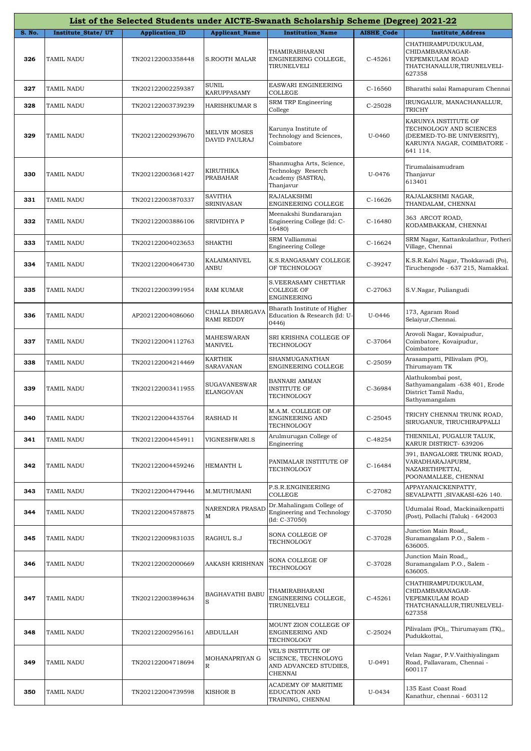|               |                           |                       |                                      | List of the Selected Students under AICTE-Swanath Scholarship Scheme (Degree) 2021-22 |                   |                                                                                                                          |
|---------------|---------------------------|-----------------------|--------------------------------------|---------------------------------------------------------------------------------------|-------------------|--------------------------------------------------------------------------------------------------------------------------|
| <b>S. No.</b> | <b>Institute State/UT</b> | <b>Application_ID</b> | <b>Applicant_Name</b>                | <b>Institution Name</b>                                                               | <b>AISHE_Code</b> | <b>Institute_Address</b>                                                                                                 |
| 326           | TAMIL NADU                | TN202122003358448     | <b>S.ROOTH MALAR</b>                 | THAMIRABHARANI<br>ENGINEERING COLLEGE,<br>TIRUNELVELI                                 | $C-45261$         | CHATHIRAMPUDUKULAM,<br>CHIDAMBARANAGAR-<br>VEPEMKULAM ROAD<br>THATCHANALLUR,TIRUNELVELI-<br>627358                       |
| 327           | TAMIL NADU                | TN202122002259387     | <b>SUNIL</b><br>KARUPPASAMY          | EASWARI ENGINEERING<br>COLLEGE                                                        | $C-16560$         | Bharathi salai Ramapuram Chennai                                                                                         |
| 328           | TAMIL NADU                | TN202122003739239     | <b>HARISHKUMAR S</b>                 | SRM TRP Engineering<br>College                                                        | C-25028           | IRUNGALUR, MANACHANALLUR,<br><b>TRICHY</b>                                                                               |
| 329           | TAMIL NADU                | TN202122002939670     | <b>MELVIN MOSES</b><br>DAVID PAULRAJ | Karunya Institute of<br>Technology and Sciences,<br>Coimbatore                        | U-0460            | KARUNYA INSTITUTE OF<br>TECHNOLOGY AND SCIENCES<br>(DEEMED-TO-BE UNIVERSITY),<br>KARUNYA NAGAR, COIMBATORE -<br>641 114. |
| 330           | TAMIL NADU                | TN202122003681427     | <b>KIRUTHIKA</b><br>PRABAHAR         | Shanmugha Arts, Science,<br>Technology Reserch<br>Academy (SASTRA),<br>Thanjavur      | U-0476            | Tirumalaisamudram<br>Thanjavur<br>613401                                                                                 |
| 331           | TAMIL NADU                | TN202122003870337     | <b>SAVITHA</b><br><b>SRINIVASAN</b>  | RAJALAKSHMI<br>ENGINEERING COLLEGE                                                    | $C-16626$         | RAJALAKSHMI NAGAR,<br>THANDALAM, CHENNAI                                                                                 |
| 332           | TAMIL NADU                | TN202122003886106     | SRIVIDHYA P                          | Meenakshi Sundararajan<br>Engineering College (Id: C-<br>16480)                       | $C-16480$         | 363 ARCOT ROAD,<br>KODAMBAKKAM, CHENNAI                                                                                  |
| 333           | TAMIL NADU                | TN202122004023653     | <b>SHAKTHI</b>                       | SRM Valliammai<br><b>Engineering College</b>                                          | $C-16624$         | SRM Nagar, Kattankulathur, Potheri<br>Village, Chennai                                                                   |
| 334           | TAMIL NADU                | TN202122004064730     | KALAIMANIVEL<br><b>ANBU</b>          | K.S.RANGASAMY COLLEGE<br>OF TECHNOLOGY                                                | C-39247           | K.S.R.Kalvi Nagar, Thokkavadi (Po),<br>Tiruchengode - 637 215, Namakkal.                                                 |
| 335           | TAMIL NADU                | TN202122003991954     | <b>RAM KUMAR</b>                     | S.VEERASAMY CHETTIAR<br><b>COLLEGE OF</b><br><b>ENGINEERING</b>                       | C-27063           | S.V.Nagar, Puliangudi                                                                                                    |
| 336           | TAMIL NADU                | AP202122004086060     | CHALLA BHARGAVA<br>RAMI REDDY        | Bharath Institute of Higher<br>Education & Research (Id: U-<br>0446)                  | U-0446            | 173, Agaram Road<br>Selaiyur, Chennai.                                                                                   |
| 337           | TAMIL NADU                | TN202122004112763     | <b>MAHESWARAN</b><br><b>MANIVEL</b>  | SRI KRISHNA COLLEGE OF<br>TECHNOLOGY                                                  | C-37064           | Arovoli Nagar, Kovaipudur,<br>Coimbatore, Kovaipudur,<br>Coimbatore                                                      |
| 338           | TAMIL NADU                | TN202122004214469     | <b>KARTHIK</b><br>SARAVANAN          | SHANMUGANATHAN<br>ENGINEERING COLLEGE                                                 | C-25059           | Arasampatti, Pillivalam (PO),<br>Thirumayam TK                                                                           |
| 339           | TAMIL NADU                | TN202122003411955     | <b>SUGAVANESWAR</b><br>ELANGOVAN     | BANNARI AMMAN<br><b>INSTITUTE OF</b><br>TECHNOLOGY                                    | C-36984           | Alathukombai post,<br>Sathyamangalam -638 401, Erode<br>District Tamil Nadu,<br>Sathyamangalam                           |
| 340           | <b>TAMIL NADU</b>         | TN202122004435764     | <b>RASHAD H</b>                      | M.A.M. COLLEGE OF<br>ENGINEERING AND<br>TECHNOLOGY                                    | C-25045           | TRICHY CHENNAI TRUNK ROAD,<br>SIRUGANUR, TIRUCHIRAPPALLI                                                                 |
| 341           | TAMIL NADU                | TN202122004454911     | VIGNESHWARI.S                        | Arulmurugan College of<br>Engineering                                                 | C-48254           | THENNILAI, PUGALUR TALUK,<br>KARUR DISTRICT- 639206                                                                      |
| 342           | TAMIL NADU                | TN202122004459246     | <b>HEMANTH L</b>                     | PANIMALAR INSTITUTE OF<br>TECHNOLOGY                                                  | $C-16484$         | 391, BANGALORE TRUNK ROAD,<br>VARADHARAJAPURM,<br>NAZARETHPETTAI,<br>POONAMALLEE, CHENNAI                                |
| 343           | TAMIL NADU                | TN202122004479446     | M.MUTHUMANI                          | P.S.R.ENGINEERING<br>COLLEGE                                                          | C-27082           | APPAYANAICKENPATTY,<br>SEVALPATTI, SIVAKASI-626 140.                                                                     |
| 344           | TAMIL NADU                | TN202122004578875     | <b>NARENDRA PRASAD</b><br>M          | Dr.Mahalingam College of<br>Engineering and Technology<br>$(Id: C-37050)$             | C-37050           | Udumalai Road, Mackinaikenpatti<br>(Post), Pollachi (Taluk) - 642003                                                     |
| 345           | TAMIL NADU                | TN202122009831035     | RAGHUL S.J                           | SONA COLLEGE OF<br>TECHNOLOGY                                                         | C-37028           | Junction Main Road,,<br>Suramangalam P.O., Salem -<br>636005.                                                            |
| 346           | TAMIL NADU                | TN202122002000669     | AAKASH KRISHNAN                      | SONA COLLEGE OF<br>TECHNOLOGY                                                         | C-37028           | Junction Main Road,,<br>Suramangalam P.O., Salem -<br>636005.                                                            |
| 347           | TAMIL NADU                | TN202122003894634     | <b>BAGHAVATHI BABU</b><br>S          | THAMIRABHARANI<br>ENGINEERING COLLEGE,<br>TIRUNELVELI                                 | $C-45261$         | CHATHIRAMPUDUKULAM,<br>CHIDAMBARANAGAR-<br>VEPEMKULAM ROAD<br>THATCHANALLUR, TIRUNELVELI-<br>627358                      |
| 348           | TAMIL NADU                | TN202122002956161     | <b>ABDULLAH</b>                      | MOUNT ZION COLLEGE OF<br>ENGINEERING AND<br>TECHNOLOGY                                | $C-25024$         | Pilivalam (PO),, Thirumayam (TK),,<br>Pudukkottai,                                                                       |
| 349           | TAMIL NADU                | TN202122004718694     | MOHANAPRIYAN G<br>$\mathbb R$        | VEL'S INSTITUTE OF<br>SCIENCE, TECHNOLOYG<br>AND ADVANCED STUDIES,<br>CHENNAI         | U-0491            | Velan Nagar, P.V.Vaithiyalingam<br>Road, Pallavaram, Chennai -<br>600117                                                 |
| 350           | TAMIL NADU                | TN202122004739598     | <b>KISHOR B</b>                      | ACADEMY OF MARITIME<br>EDUCATION AND<br>TRAINING, CHENNAI                             | U-0434            | 135 East Coast Road<br>Kanathur, chennai - 603112                                                                        |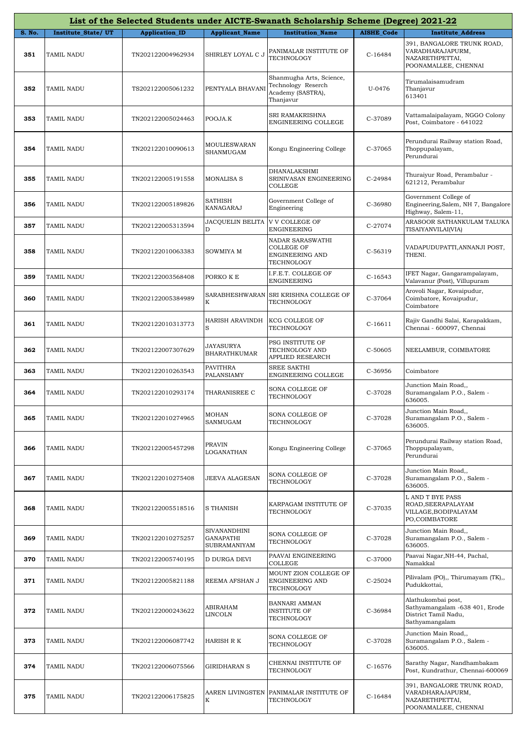|        |                    |                       |                                                  | List of the Selected Students under AICTE-Swanath Scholarship Scheme (Degree) 2021-22 |            |                                                                                                |
|--------|--------------------|-----------------------|--------------------------------------------------|---------------------------------------------------------------------------------------|------------|------------------------------------------------------------------------------------------------|
| S. No. | Institute_State/UT | <b>Application ID</b> | <b>Applicant_Name</b>                            | <b>Institution Name</b>                                                               | AISHE_Code | <b>Institute_Address</b>                                                                       |
| 351    | TAMIL NADU         | TN202122004962934     | SHIRLEY LOYAL C J                                | PANIMALAR INSTITUTE OF<br>TECHNOLOGY                                                  | $C-16484$  | 391, BANGALORE TRUNK ROAD,<br>VARADHARAJAPURM,<br>NAZARETHPETTAI,<br>POONAMALLEE, CHENNAI      |
| 352    | TAMIL NADU         | TS202122005061232     | PENTYALA BHAVANI                                 | Shanmugha Arts, Science,<br>Technology Reserch<br>Academy (SASTRA),<br>Thanjavur      | U-0476     | Tirumalaisamudram<br>Thanjavur<br>613401                                                       |
| 353    | <b>TAMIL NADU</b>  | TN202122005024463     | POOJA.K                                          | SRI RAMAKRISHNA<br>ENGINEERING COLLEGE                                                | C-37089    | Vattamalaipalayam, NGGO Colony<br>Post, Coimbatore - 641022                                    |
| 354    | TAMIL NADU         | TN202122010090613     | MOULIESWARAN<br>SHANMUGAM                        | Kongu Engineering College                                                             | C-37065    | Perundurai Railway station Road,<br>Thoppupalayam,<br>Perundurai                               |
| 355    | TAMIL NADU         | TN202122005191558     | <b>MONALISA S</b>                                | DHANALAKSHMI<br>SRINIVASAN ENGINEERING<br><b>COLLEGE</b>                              | C-24984    | Thuraiyur Road, Perambalur -<br>621212, Perambalur                                             |
| 356    | <b>TAMIL NADU</b>  | TN202122005189826     | <b>SATHISH</b><br>KANAGARAJ                      | Government College of<br>Engineering                                                  | C-36980    | Government College of<br>Engineering, Salem, NH 7, Bangalore<br>Highway, Salem-11,             |
| 357    | TAMIL NADU         | TN202122005313594     | <b>JACQUELIN BELITA</b><br>D                     | V V COLLEGE OF<br>ENGINEERING                                                         | C-27074    | ARASOOR SATHANKULAM TALUKA<br>TISAIYANVILAI(VIA)                                               |
| 358    | <b>TAMIL NADU</b>  | TN202122010063383     | SOWMIYA M                                        | NADAR SARASWATHI<br><b>COLLEGE OF</b><br><b>ENGINEERING AND</b><br>TECHNOLOGY         | C-56319    | VADAPUDUPATTI,ANNANJI POST,<br>THENI.                                                          |
| 359    | TAMIL NADU         | TN202122003568408     | PORKO K E                                        | I.F.E.T. COLLEGE OF<br>ENGINEERING                                                    | $C-16543$  | IFET Nagar, Gangarampalayam,<br>Valavanur (Post), Villupuram                                   |
| 360    | TAMIL NADU         | TN202122005384989     | SARABHESHWARAN<br>Κ                              | SRI KRISHNA COLLEGE OF<br>TECHNOLOGY                                                  | C-37064    | Arovoli Nagar, Kovaipudur,<br>Coimbatore, Kovaipudur,<br>Coimbatore                            |
| 361    | TAMIL NADU         | TN202122010313773     | HARISH ARAVINDH<br>S                             | KCG COLLEGE OF<br>TECHNOLOGY                                                          | $C-16611$  | Rajiv Gandhi Salai, Karapakkam,<br>Chennai - 600097, Chennai                                   |
| 362    | TAMIL NADU         | TN202122007307629     | JAYASURYA<br><b>BHARATHKUMAR</b>                 | PSG INSTITUTE OF<br>TECHNOLOGY AND<br>APPLIED RESEARCH                                | C-50605    | NEELAMBUR, COIMBATORE                                                                          |
| 363    | TAMIL NADU         | TN202122010263543     | PAVITHRA<br>PALANSIAMY                           | <b>SREE SAKTHI</b><br>ENGINEERING COLLEGE                                             | C-36956    | Coimbatore                                                                                     |
| 364    | TAMIL NADU         | TN202122010293174     | THARANISREE C                                    | SONA COLLEGE OF<br>TECHNOLOGY                                                         | C-37028    | Junction Main Road,,<br>Suramangalam P.O., Salem -<br>636005.                                  |
| 365    | <b>TAMIL NADU</b>  | TN202122010274965     | <b>MOHAN</b><br>SANMUGAM                         | SONA COLLEGE OF<br>TECHNOLOGY                                                         | C-37028    | Junction Main Road,,<br>Suramangalam P.O., Salem -<br>636005.                                  |
| 366    | TAMIL NADU         | TN202122005457298     | <b>PRAVIN</b><br>LOGANATHAN                      | Kongu Engineering College                                                             | C-37065    | Perundurai Railway station Road,<br>Thoppupalayam,<br>Perundurai                               |
| 367    | TAMIL NADU         | TN202122010275408     | JEEVA ALAGESAN                                   | SONA COLLEGE OF<br>TECHNOLOGY                                                         | C-37028    | Junction Main Road,,<br>Suramangalam P.O., Salem -<br>636005.                                  |
| 368    | <b>TAMIL NADU</b>  | TN202122005518516     | <b>S THANISH</b>                                 | KARPAGAM INSTITUTE OF<br>TECHNOLOGY                                                   | C-37035    | L AND T BYE PASS<br>ROAD, SEERAPALAYAM<br>VILLAGE, BODIPALAYAM<br>PO,COIMBATORE                |
| 369    | TAMIL NADU         | TN202122010275257     | SIVANANDHINI<br>GANAPATHI<br><b>SUBRAMANIYAM</b> | SONA COLLEGE OF<br>TECHNOLOGY                                                         | C-37028    | Junction Main Road,,<br>Suramangalam P.O., Salem -<br>636005.                                  |
| 370    | TAMIL NADU         | TN202122005740195     | D DURGA DEVI                                     | PAAVAI ENGINEERING<br>COLLEGE                                                         | C-37000    | Paavai Nagar, NH-44, Pachal,<br>Namakkal                                                       |
| 371    | TAMIL NADU         | TN202122005821188     | REEMA AFSHAN J                                   | MOUNT ZION COLLEGE OF<br>ENGINEERING AND<br>TECHNOLOGY                                | $C-25024$  | Pilivalam (PO),, Thirumayam (TK),,<br>Pudukkottai,                                             |
| 372    | TAMIL NADU         | TN202122000243622     | ABIRAHAM<br>LINCOLN                              | BANNARI AMMAN<br><b>INSTITUTE OF</b><br>TECHNOLOGY                                    | C-36984    | Alathukombai post,<br>Sathyamangalam -638 401, Erode<br>District Tamil Nadu,<br>Sathyamangalam |
| 373    | TAMIL NADU         | TN202122006087742     | HARISH R K                                       | SONA COLLEGE OF<br>TECHNOLOGY                                                         | C-37028    | Junction Main Road,,<br>Suramangalam P.O., Salem -<br>636005.                                  |
| 374    | TAMIL NADU         | TN202122006075566     | GIRIDHARAN S                                     | CHENNAI INSTITUTE OF<br>TECHNOLOGY                                                    | C-16576    | Sarathy Nagar, Nandhambakam<br>Post, Kundrathur, Chennai-600069                                |
| 375    | TAMIL NADU         | TN202122006175825     | K                                                | AAREN LIVINGSTEN PANIMALAR INSTITUTE OF<br>TECHNOLOGY                                 | C-16484    | 391, BANGALORE TRUNK ROAD,<br>VARADHARAJAPURM,<br>NAZARETHPETTAI,<br>POONAMALLEE, CHENNAI      |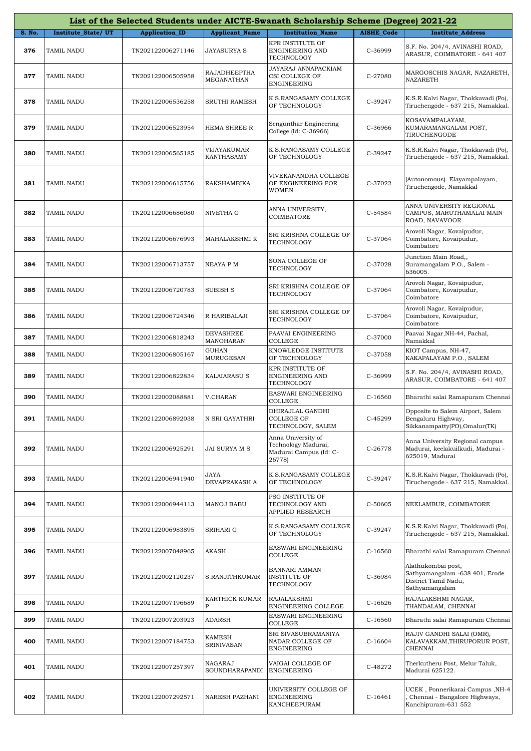|        |                    |                       |                                   | List of the Selected Students under AICTE-Swanath Scholarship Scheme (Degree) 2021-22 |                   |                                                                                                |
|--------|--------------------|-----------------------|-----------------------------------|---------------------------------------------------------------------------------------|-------------------|------------------------------------------------------------------------------------------------|
| S. No. | Institute_State/UT | <b>Application_ID</b> | <b>Applicant_Name</b>             | <b>Institution_Name</b>                                                               | <b>AISHE_Code</b> | <b>Institute_Address</b>                                                                       |
| 376    | TAMIL NADU         | TN202122006271146     | JAYASURYA S                       | KPR INSTITUTE OF<br>ENGINEERING AND<br>TECHNOLOGY                                     | C-36999           | S.F. No. 204/4, AVINASHI ROAD,<br>ARASUR, COIMBATORE - 641 407                                 |
| 377    | TAMIL NADU         | TN202122006505958     | <b>RAJADHEEPTHA</b><br>MEGANATHAN | JAYARAJ ANNAPACKIAM<br>CSI COLLEGE OF<br><b>ENGINEERING</b>                           | C-27080           | MARGOSCHIS NAGAR, NAZARETH,<br>NAZARETH                                                        |
| 378    | TAMIL NADU         | TN202122006536258     | SRUTHI RAMESH                     | K.S.RANGASAMY COLLEGE<br>OF TECHNOLOGY                                                | C-39247           | K.S.R.Kalvi Nagar, Thokkavadi (Po),<br>Tiruchengode - 637 215, Namakkal.                       |
| 379    | TAMIL NADU         | TN202122006523954     | HEMA SHREE R                      | Sengunthar Engineering<br>College (Id: C-36966)                                       | C-36966           | KOSAVAMPALAYAM,<br>KUMARAMANGALAM POST,<br>TIRUCHENGODE                                        |
| 380    | TAMIL NADU         | TN202122006565185     | VIJAYAKUMAR<br>KANTHASAMY         | K.S.RANGASAMY COLLEGE<br>OF TECHNOLOGY                                                | C-39247           | K.S.R.Kalvi Nagar, Thokkavadi (Po),<br>Tiruchengode - 637 215, Namakkal.                       |
| 381    | TAMIL NADU         | TN202122006615756     | <b>RAKSHAMBIKA</b>                | VIVEKANANDHA COLLEGE<br>OF ENGINEERING FOR<br><b>WOMEN</b>                            | C-37022           | (Autonomous) Elayampalayam,<br>Tiruchengode, Namakkal                                          |
| 382    | TAMIL NADU         | TN202122006686080     | NIVETHA G                         | ANNA UNIVERSITY,<br>COIMBATORE                                                        | C-54584           | ANNA UNIVERSITY REGIONAL<br>CAMPUS, MARUTHAMALAI MAIN<br>ROAD, NAVAVOOR                        |
| 383    | TAMIL NADU         | TN202122006676993     | MAHALAKSHMI K                     | SRI KRISHNA COLLEGE OF<br>TECHNOLOGY                                                  | C-37064           | Arovoli Nagar, Kovaipudur,<br>Coimbatore, Kovaipudur,<br>Coimbatore                            |
| 384    | TAMIL NADU         | TN202122006713757     | NEAYA P M                         | SONA COLLEGE OF<br>TECHNOLOGY                                                         | C-37028           | Junction Main Road,,<br>Suramangalam P.O., Salem -<br>636005.                                  |
| 385    | TAMIL NADU         | TN202122006720783     | <b>SUBISH S</b>                   | SRI KRISHNA COLLEGE OF<br>TECHNOLOGY                                                  | C-37064           | Arovoli Nagar, Kovaipudur,<br>Coimbatore, Kovaipudur,<br>Coimbatore                            |
| 386    | TAMIL NADU         | TN202122006724346     | R HARIBALAJI                      | SRI KRISHNA COLLEGE OF<br>TECHNOLOGY                                                  | C-37064           | Arovoli Nagar, Kovaipudur,<br>Coimbatore, Kovaipudur,<br>Coimbatore                            |
| 387    | TAMIL NADU         | TN202122006818243     | DEVASHREE<br>MANOHARAN            | PAAVAI ENGINEERING<br><b>COLLEGE</b>                                                  | C-37000           | Paavai Nagar, NH-44, Pachal,<br>Namakkal                                                       |
| 388    | TAMIL NADU         | TN202122006805167     | GUHAN<br>MURUGESAN                | KNOWLEDGE INSTITUTE<br>OF TECHNOLOGY                                                  | C-37058           | KIOT Campus, NH-47,<br>KAKAPALAYAM P.O., SALEM                                                 |
| 389    | TAMIL NADU         | TN202122006822834     | <b>KALAIARASU S</b>               | KPR INSTITUTE OF<br>ENGINEERING AND<br>TECHNOLOGY                                     | C-36999           | S.F. No. 204/4, AVINASHI ROAD,<br>ARASUR, COIMBATORE - 641 407                                 |
| 390    | TAMIL NADU         | TN202122002088881     | V.CHARAN                          | EASWARI ENGINEERING<br>COLLEGE                                                        | $C-16560$         | Bharathi salai Ramapuram Chennai                                                               |
| 391    | TAMIL NADU         | TN202122006892038     | N SRI GAYATHRI                    | DHIRAJLAL GANDHI<br>COLLEGE OF<br>TECHNOLOGY, SALEM                                   | C-45299           | Opposite to Salem Airport, Salem<br>Bengaluru Highway,<br>Sikkanampatty(PO),Omalur(TK)         |
| 392    | TAMIL NADU         | TN202122006925291     | JAI SURYA M S                     | Anna University of<br>Technology Madurai,<br>Madurai Campus (Id: C-<br>26778)         | C-26778           | Anna University Regional campus<br>Madurai, keelakuilkudi, Madurai -<br>625019, Madurai        |
| 393    | TAMIL NADU         | TN202122006941940     | <b>JAYA</b><br>DEVAPRAKASH A      | K.S.RANGASAMY COLLEGE<br>OF TECHNOLOGY                                                | C-39247           | K.S.R.Kalvi Nagar, Thokkavadi (Po),<br>Tiruchengode - 637 215, Namakkal.                       |
| 394    | TAMIL NADU         | TN202122006944113     | <b>MANOJ BABU</b>                 | PSG INSTITUTE OF<br>TECHNOLOGY AND<br>APPLIED RESEARCH                                | C-50605           | NEELAMBUR, COIMBATORE                                                                          |
| 395    | TAMIL NADU         | TN202122006983895     | SRIHARI G                         | K.S.RANGASAMY COLLEGE<br>OF TECHNOLOGY                                                | C-39247           | K.S.R.Kalvi Nagar, Thokkavadi (Po),<br>Tiruchengode - 637 215, Namakkal.                       |
| 396    | TAMIL NADU         | TN202122007048965     | AKASH                             | EASWARI ENGINEERING<br>COLLEGE                                                        | $C-16560$         | Bharathi salai Ramapuram Chennai                                                               |
| 397    | TAMIL NADU         | TN202122002120237     | S.RANJITHKUMAR                    | <b>BANNARI AMMAN</b><br><b>INSTITUTE OF</b><br>TECHNOLOGY                             | C-36984           | Alathukombai post,<br>Sathyamangalam -638 401, Erode<br>District Tamil Nadu,<br>Sathyamangalam |
| 398    | TAMIL NADU         | TN202122007196689     | KARTHICK KUMAR<br>P               | RAJALAKSHMI<br>ENGINEERING COLLEGE                                                    | $C-16626$         | RAJALAKSHMI NAGAR,<br>THANDALAM, CHENNAI                                                       |
| 399    | TAMIL NADU         | TN202122007203923     | <b>ADARSH</b>                     | EASWARI ENGINEERING<br>COLLEGE                                                        | $C-16560$         | Bharathi salai Ramapuram Chennai                                                               |
| 400    | TAMIL NADU         | TN202122007184753     | KAMESH<br>SRINIVASAN              | SRI SIVASUBRAMANIYA<br>NADAR COLLEGE OF<br>ENGINEERING                                | $C-16604$         | RAJIV GANDHI SALAI (OMR),<br>KALAVAKKAM, THIRUPORUR POST,<br>CHENNAI                           |
| 401    | TAMIL NADU         | TN202122007257397     | NAGARAJ<br>SOUNDHARAPANDI         | VAIGAI COLLEGE OF<br>ENGINEERING                                                      | C-48272           | Therkutheru Post, Melur Taluk,<br>Madurai 625122.                                              |
| 402    | TAMIL NADU         | TN202122007292571     | NARESH PAZHANI                    | UNIVERSITY COLLEGE OF<br>ENGINEERING<br>KANCHEEPURAM                                  | $C-16461$         | JCEK, Ponnerikarai Campus, NH-4<br>Chennai - Bangalore Highways,<br>Kanchipuram-631 552        |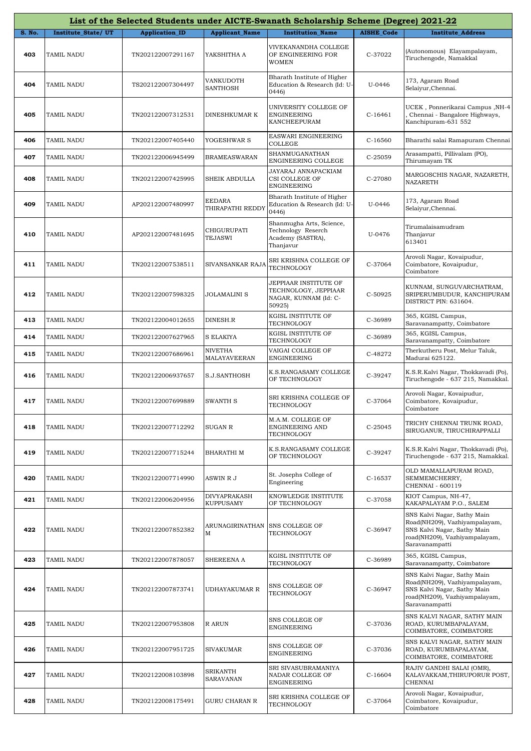|        |                    |                       |                                   | List of the Selected Students under AICTE-Swanath Scholarship Scheme (Degree) 2021-22 |                   |                                                                                                                                                |
|--------|--------------------|-----------------------|-----------------------------------|---------------------------------------------------------------------------------------|-------------------|------------------------------------------------------------------------------------------------------------------------------------------------|
| S. No. | Institute_State/UT | <b>Application_ID</b> | <b>Applicant_Name</b>             | <b>Institution_Name</b>                                                               | <b>AISHE_Code</b> | <b>Institute_Address</b>                                                                                                                       |
| 403    | TAMIL NADU         | TN202122007291167     | YAKSHITHA A                       | VIVEKANANDHA COLLEGE<br>OF ENGINEERING FOR<br><b>WOMEN</b>                            | C-37022           | (Autonomous) Elayampalayam,<br>Tiruchengode, Namakkal                                                                                          |
| 404    | TAMIL NADU         | TS202122007304497     | VANKUDOTH<br>SANTHOSH             | Bharath Institute of Higher<br>Education & Research (Id: U-<br>0446)                  | U-0446            | 173, Agaram Road<br>Selaiyur, Chennai.                                                                                                         |
| 405    | TAMIL NADU         | TN202122007312531     | DINESHKUMAR K                     | UNIVERSITY COLLEGE OF<br><b>ENGINEERING</b><br>KANCHEEPURAM                           | $C-16461$         | JCEK, Ponnerikarai Campus, NH-4<br>Chennai - Bangalore Highways,<br>Kanchipuram-631 552                                                        |
| 406    | TAMIL NADU         | TN202122007405440     | YOGESHWAR S                       | EASWARI ENGINEERING<br>COLLEGE                                                        | $C-16560$         | Bharathi salai Ramapuram Chennai                                                                                                               |
| 407    | TAMIL NADU         | TN202122006945499     | <b>BRAMEASWARAN</b>               | SHANMUGANATHAN<br>ENGINEERING COLLEGE                                                 | C-25059           | Arasampatti, Pillivalam (PO),<br>Thirumayam TK                                                                                                 |
| 408    | TAMIL NADU         | TN202122007425995     | SHEIK ABDULLA                     | JAYARAJ ANNAPACKIAM<br>CSI COLLEGE OF<br><b>ENGINEERING</b>                           | C-27080           | MARGOSCHIS NAGAR, NAZARETH,<br>NAZARETH                                                                                                        |
| 409    | TAMIL NADU         | AP202122007480997     | <b>EEDARA</b><br>THIRAPATHI REDD' | Bharath Institute of Higher<br>Education & Research (Id: U-<br>0446                   | U-0446            | 173, Agaram Road<br>Selaiyur, Chennai.                                                                                                         |
| 410    | TAMIL NADU         | AP202122007481695     | CHIGURUPATI<br><b>TEJASWI</b>     | Shanmugha Arts, Science,<br>Technology Reserch<br>Academy (SASTRA),<br>Thanjavur      | U-0476            | Tirumalaisamudram<br>Thanjavur<br>613401                                                                                                       |
| 411    | TAMIL NADU         | TN202122007538511     | SIVANSANKAR RAJA                  | SRI KRISHNA COLLEGE OF<br>TECHNOLOGY                                                  | C-37064           | Arovoli Nagar, Kovaipudur,<br>Coimbatore, Kovaipudur,<br>Coimbatore                                                                            |
| 412    | TAMIL NADU         | TN202122007598325     | JOLAMALINI S                      | JEPPIAAR INSTITUTE OF<br>TECHNOLOGY, JEPPIAAR<br>NAGAR, KUNNAM (Id: C-<br>50925)      | C-50925           | KUNNAM, SUNGUVARCHATRAM,<br>SRIPERUMBUDUR, KANCHIPURAM<br>DISTRICT PIN: 631604.                                                                |
| 413    | TAMIL NADU         | TN202122004012655     | DINESH.R                          | KGISL INSTITUTE OF<br>TECHNOLOGY                                                      | C-36989           | 365, KGISL Campus,<br>Saravanampatty, Coimbatore                                                                                               |
| 414    | TAMIL NADU         | TN202122007627965     | <b>S ELAKIYA</b>                  | KGISL INSTITUTE OF<br>TECHNOLOGY                                                      | C-36989           | 365, KGISL Campus,<br>Saravanampatty, Coimbatore                                                                                               |
| 415    | TAMIL NADU         | TN202122007686961     | NIVETHA<br>MALAYAVEERAN           | VAIGAI COLLEGE OF<br>ENGINEERING                                                      | C-48272           | Therkutheru Post, Melur Taluk,<br>Madurai 625122.                                                                                              |
| 416    | TAMIL NADU         | TN202122006937657     | S.J.SANTHOSH                      | K.S.RANGASAMY COLLEGE<br>OF TECHNOLOGY                                                | C-39247           | K.S.R.Kalvi Nagar, Thokkavadi (Po),<br>Tiruchengode - 637 215, Namakkal.                                                                       |
| 417    | TAMIL NADU         | TN202122007699889     | SWANTH S                          | SRI KRISHNA COLLEGE OF<br>TECHNOLOGY                                                  | C-37064           | Arovoli Nagar, Kovaipudur,<br>Coimbatore, Kovaipudur,<br>Coimbatore                                                                            |
| 418    | TAMIL NADU         | TN202122007712292     | SUGAN R                           | M.A.M. COLLEGE OF<br>ENGINEERING AND<br>TECHNOLOGY                                    | C-25045           | TRICHY CHENNAI TRUNK ROAD,<br>SIRUGANUR, TIRUCHIRAPPALLI                                                                                       |
| 419    | TAMIL NADU         | TN202122007715244     | BHARATHI M                        | K.S.RANGASAMY COLLEGE<br>OF TECHNOLOGY                                                | C-39247           | K.S.R.Kalvi Nagar, Thokkavadi (Po),<br>Tiruchengode - 637 215, Namakkal.                                                                       |
| 420    | TAMIL NADU         | TN202122007714990     | ASWIN R J                         | St. Josephs College of<br>Engineering                                                 | $C-16537$         | OLD MAMALLAPURAM ROAD,<br>SEMMEMCHERRY,<br>CHENNAI - 600119                                                                                    |
| 421    | TAMIL NADU         | TN202122006204956     | DIVYAPRAKASH<br><b>KUPPUSAMY</b>  | KNOWLEDGE INSTITUTE<br>OF TECHNOLOGY                                                  | C-37058           | KIOT Campus, NH-47,<br>KAKAPALAYAM P.O., SALEM                                                                                                 |
| 422    | TAMIL NADU         | TN202122007852382     | ARUNAGIRINATHAN<br>M              | SNS COLLEGE OF<br>TECHNOLOGY                                                          | C-36947           | SNS Kalvi Nagar, Sathy Main<br>Road(NH209), Vazhiyampalayam,<br>SNS Kalvi Nagar, Sathy Main<br>road(NH209), Vazhiyampalayam,<br>Saravanampatti |
| 423    | TAMIL NADU         | TN202122007878057     | SHEREENA A                        | KGISL INSTITUTE OF<br>TECHNOLOGY                                                      | C-36989           | 365, KGISL Campus,<br>Saravanampatty, Coimbatore                                                                                               |
| 424    | TAMIL NADU         | TN202122007873741     | UDHAYAKUMAR R                     | SNS COLLEGE OF<br>TECHNOLOGY                                                          | C-36947           | SNS Kalvi Nagar, Sathy Main<br>Road(NH209), Vazhiyampalayam,<br>SNS Kalvi Nagar, Sathy Main<br>road(NH209), Vazhiyampalayam,<br>Saravanampatti |
| 425    | TAMIL NADU         | TN202122007953808     | R ARUN                            | SNS COLLEGE OF<br><b>ENGINEERING</b>                                                  | C-37036           | SNS KALVI NAGAR, SATHY MAIN<br>ROAD, KURUMBAPALAYAM,<br>COIMBATORE, COIMBATORE                                                                 |
| 426    | TAMIL NADU         | TN202122007951725     | <b>SIVAKUMAR</b>                  | SNS COLLEGE OF<br><b>ENGINEERING</b>                                                  | C-37036           | SNS KALVI NAGAR, SATHY MAIN<br>ROAD, KURUMBAPALAYAM,<br>COIMBATORE, COIMBATORE                                                                 |
| 427    | TAMIL NADU         | TN202122008103898     | SRIKANTH<br>SARAVANAN             | SRI SIVASUBRAMANIYA<br>NADAR COLLEGE OF<br><b>ENGINEERING</b>                         | $C-16604$         | RAJIV GANDHI SALAI (OMR),<br>KALAVAKKAM,THIRUPORUR POST,<br>CHENNAI                                                                            |
| 428    | TAMIL NADU         | TN202122008175491     | GURU CHARAN R                     | SRI KRISHNA COLLEGE OF<br>TECHNOLOGY                                                  | C-37064           | Arovoli Nagar, Kovaipudur,<br>Coimbatore, Kovaipudur,<br>Coimbatore                                                                            |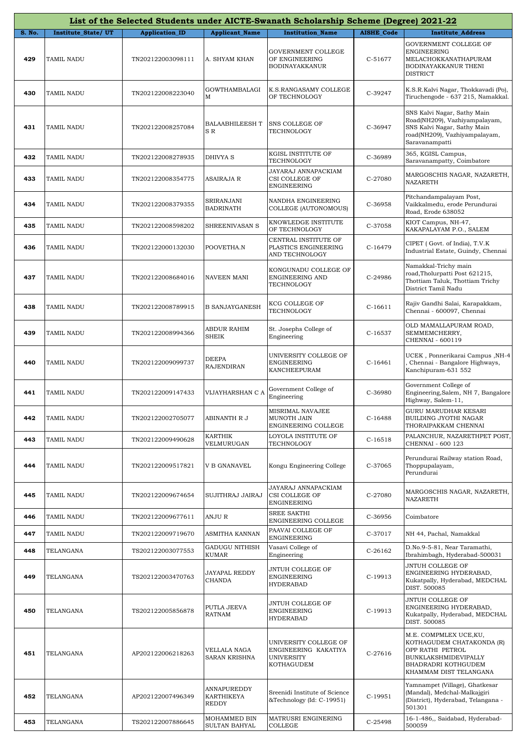|        |                           |                       |                                    | List of the Selected Students under AICTE-Swanath Scholarship Scheme (Degree) 2021-22 |                   |                                                                                                                                                  |
|--------|---------------------------|-----------------------|------------------------------------|---------------------------------------------------------------------------------------|-------------------|--------------------------------------------------------------------------------------------------------------------------------------------------|
| S. No. | <b>Institute State/UT</b> | <b>Application_ID</b> | <b>Applicant_Name</b>              | <b>Institution Name</b>                                                               | <b>AISHE Code</b> | <b>Institute_Address</b>                                                                                                                         |
| 429    | <b>TAMIL NADU</b>         | TN202122003098111     | A. SHYAM KHAN                      | GOVERNMENT COLLEGE<br>OF ENGINEERING<br>BODINAYAKKANUR                                | C-51677           | GOVERNMENT COLLEGE OF<br>ENGINEERING<br>MELACHOKKANATHAPURAM<br>BODINAYAKKANUR THENI<br><b>DISTRICT</b>                                          |
| 430    | TAMIL NADU                | TN202122008223040     | GOWTHAMBALAGI<br>M                 | K.S.RANGASAMY COLLEGE<br>OF TECHNOLOGY                                                | C-39247           | K.S.R.Kalvi Nagar, Thokkavadi (Po),<br>Tiruchengode - 637 215, Namakkal.                                                                         |
| 431    | <b>TAMIL NADU</b>         | TN202122008257084     | BALAABHILEESH T<br>S R             | SNS COLLEGE OF<br>TECHNOLOGY                                                          | C-36947           | SNS Kalvi Nagar, Sathy Main<br>Road(NH209), Vazhiyampalayam,<br>SNS Kalvi Nagar, Sathy Main<br>road(NH209), Vazhiyampalayam,<br>Saravanampatti   |
| 432    | <b>TAMIL NADU</b>         | TN202122008278935     | DHIVYA S                           | KGISL INSTITUTE OF<br>TECHNOLOGY                                                      | C-36989           | 365, KGISL Campus,<br>Saravanampatty, Coimbatore                                                                                                 |
| 433    | TAMIL NADU                | TN202122008354775     | ASAIRAJA R                         | JAYARAJ ANNAPACKIAM<br>CSI COLLEGE OF<br><b>ENGINEERING</b>                           | C-27080           | MARGOSCHIS NAGAR, NAZARETH,<br>NAZARETH                                                                                                          |
| 434    | <b>TAMIL NADU</b>         | TN202122008379355     | SRIRANJANI<br><b>BADRINATH</b>     | NANDHA ENGINEERING<br>COLLEGE (AUTONOMOUS)                                            | C-36958           | Pitchandampalayam Post,<br>Vaikkalmedu, erode Perundurai<br>Road, Erode 638052                                                                   |
| 435    | TAMIL NADU                | TN202122008598202     | SHREENIVASAN S                     | KNOWLEDGE INSTITUTE<br>OF TECHNOLOGY                                                  | C-37058           | KIOT Campus, NH-47,<br>KAKAPALAYAM P.O., SALEM                                                                                                   |
| 436    | <b>TAMIL NADU</b>         | TN202122000132030     | POOVETHA.N                         | CENTRAL INSTITUTE OF<br>PLASTICS ENGINEERING<br>AND TECHNOLOGY                        | $C-16479$         | CIPET (Govt. of India), T.V.K<br>Industrial Estate, Guindy, Chennai                                                                              |
| 437    | <b>TAMIL NADU</b>         | TN202122008684016     | NAVEEN MANI                        | KONGUNADU COLLEGE OF<br>ENGINEERING AND<br>TECHNOLOGY                                 | C-24986           | Namakkal-Trichy main<br>road, Tholurpatti Post 621215,<br>Thottiam Taluk, Thottiam Trichy<br>District Tamil Nadu                                 |
| 438    | TAMIL NADU                | TN202122008789915     | B SANJAYGANESH                     | KCG COLLEGE OF<br>TECHNOLOGY                                                          | $C-16611$         | Rajiv Gandhi Salai, Karapakkam,<br>Chennai - 600097, Chennai                                                                                     |
| 439    | <b>TAMIL NADU</b>         | TN202122008994366     | ABDUR RAHIM<br>SHEIK               | St. Josephs College of<br>Engineering                                                 | $C-16537$         | OLD MAMALLAPURAM ROAD,<br>SEMMEMCHERRY,<br>CHENNAI - 600119                                                                                      |
| 440    | <b>TAMIL NADU</b>         | TN202122009099737     | DEEPA<br>RAJENDIRAN                | UNIVERSITY COLLEGE OF<br><b>ENGINEERING</b><br>KANCHEEPURAM                           | $C-16461$         | UCEK, Ponnerikarai Campus, NH-4<br>Chennai - Bangalore Highways,<br>Kanchipuram-631 552                                                          |
| 441    | <b>TAMIL NADU</b>         | TN202122009147433     | VIJAYHARSHAN C A                   | Government College of<br>Engineering                                                  | C-36980           | Government College of<br>Engineering, Salem, NH 7, Bangalore<br>Highway, Salem-11,                                                               |
| 442    | TAMIL NADU                | TN202122002705077     | ABINANTH R J                       | MISRIMAL NAVAJEE<br>MUNOTH JAIN<br>ENGINEERING COLLEGE                                | $C-16488$         | <b>GURU MARUDHAR KESARI</b><br>BUILDING JYOTHI NAGAR<br>THORAIPAKKAM CHENNAI                                                                     |
| 443    | TAMIL NADU                | TN202122009490628     | KARTHIK<br>VELMURUGAN              | LOYOLA INSTITUTE OF<br>TECHNOLOGY                                                     | $C-16518$         | PALANCHUR, NAZARETHPET POST,<br>CHENNAI - 600 123                                                                                                |
| 444    | TAMIL NADU                | TN202122009517821     | V B GNANAVEL                       | Kongu Engineering College                                                             | C-37065           | Perundurai Railway station Road,<br>Thoppupalayam,<br>Perundurai                                                                                 |
| 445    | TAMIL NADU                | TN202122009674654     | SUJITHRAJ JAIRAJ                   | JAYARAJ ANNAPACKIAM<br>CSI COLLEGE OF<br>ENGINEERING                                  | C-27080           | MARGOSCHIS NAGAR, NAZARETH,<br>NAZARETH                                                                                                          |
| 446    | TAMIL NADU                | TN202122009677611     | ANJU R                             | <b>SREE SAKTHI</b><br>ENGINEERING COLLEGE                                             | C-36956           | Coimbatore                                                                                                                                       |
| 447    | TAMIL NADU                | TN202122009719670     | ASMITHA KANNAN                     | PAAVAI COLLEGE OF<br>ENGINEERING                                                      | C-37017           | NH 44, Pachal, Namakkal                                                                                                                          |
| 448    | TELANGANA                 | TS202122003077553     | GADUGU NITHISH<br>KUMAR            | Vasavi College of<br>Engineering                                                      | C-26162           | D.No.9-5-81, Near Taramathi,<br>Ibrahimbagh, Hyderabad-500031                                                                                    |
| 449    | TELANGANA                 | TS202122003470763     | JAYAPAL REDDY<br>CHANDA            | JNTUH COLLEGE OF<br><b>ENGINEERING</b><br><b>HYDERABAD</b>                            | C-19913           | JNTUH COLLEGE OF<br>ENGINEERING HYDERABAD,<br>Kukatpally, Hyderabad, MEDCHAL<br>DIST. 500085                                                     |
| 450    | TELANGANA                 | TS202122005856878     | PUTLA JEEVA<br>RATNAM              | JNTUH COLLEGE OF<br>ENGINEERING<br><b>HYDERABAD</b>                                   | C-19913           | JNTUH COLLEGE OF<br>ENGINEERING HYDERABAD,<br>Kukatpally, Hyderabad, MEDCHAL<br>DIST. 500085                                                     |
| 451    | TELANGANA                 | AP202122006218263     | VELLALA NAGA<br>SARAN KRISHNA      | UNIVERSITY COLLEGE OF<br>ENGINEERING KAKATIYA<br><b>UNIVERSITY</b><br>KOTHAGUDEM      | $C-27616$         | M.E. COMPMLEX UCE, KU,<br>KOTHAGUDEM CHATAKONDA (R)<br>OPP RATHI PETROL<br>BUNKLAKSHMIDEVIPALLY<br>BHADRADRI KOTHGUDEM<br>KHAMMAM DIST TELANGANA |
| 452    | TELANGANA                 | AP202122007496349     | ANNAPUREDDY<br>KARTHIKEYA<br>REDDY | Sreenidi Institute of Science<br>&Technology (Id: C-19951)                            | C-19951           | Yamnampet (Village), Ghatkesar<br>(Mandal), Medchal-Malkajgiri<br>(District), Hyderabad, Telangana -<br>501301                                   |
| 453    | TELANGANA                 | TS202122007886645     | MOHAMMED BIN<br>SULTAN BAHYAL      | MATRUSRI ENGINERING<br>COLLEGE                                                        | C-25498           | 16-1-486,, Saidabad, Hyderabad-<br>500059                                                                                                        |